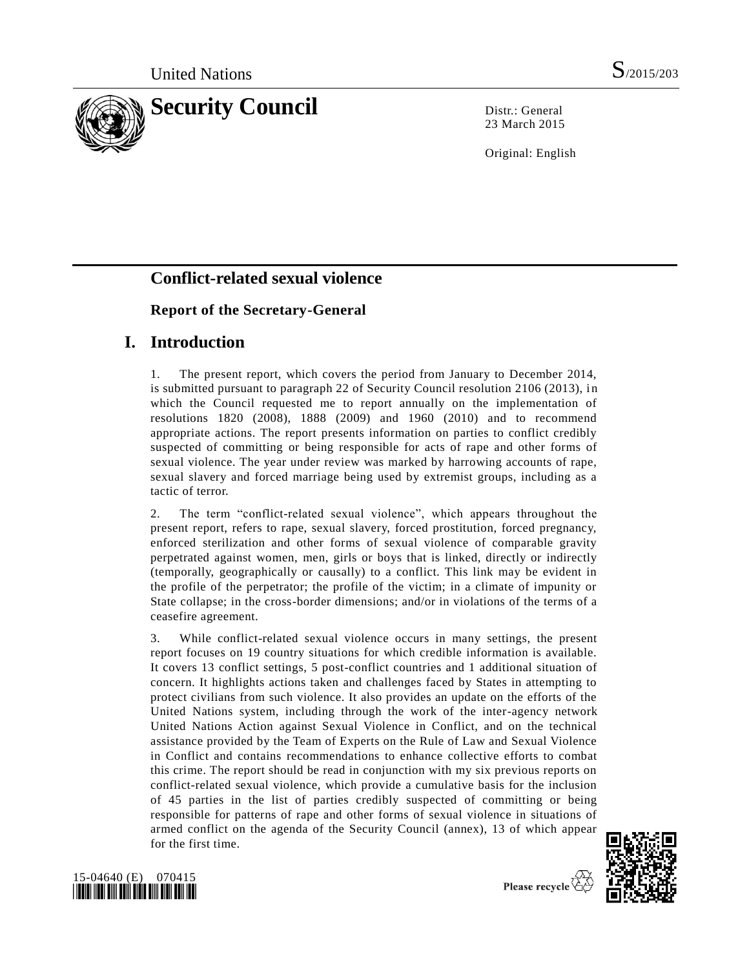

23 March 2015

Original: English

# **Conflict-related sexual violence**

# **Report of the Secretary-General**

# **I. Introduction**

1. The present report, which covers the period from January to December 2014, is submitted pursuant to paragraph 22 of Security Council resolution 2106 (2013), in which the Council requested me to report annually on the implementation of resolutions 1820 (2008), 1888 (2009) and 1960 (2010) and to recommend appropriate actions. The report presents information on parties to conflict credibly suspected of committing or being responsible for acts of rape and other forms of sexual violence. The year under review was marked by harrowing accounts of rape, sexual slavery and forced marriage being used by extremist groups, including as a tactic of terror.

2. The term "conflict-related sexual violence", which appears throughout the present report, refers to rape, sexual slavery, forced prostitution, forced pregnancy, enforced sterilization and other forms of sexual violence of comparable gravity perpetrated against women, men, girls or boys that is linked, directly or indirectly (temporally, geographically or causally) to a conflict. This link may be evident in the profile of the perpetrator; the profile of the victim; in a climate of impunity or State collapse; in the cross-border dimensions; and/or in violations of the terms of a ceasefire agreement.

3. While conflict-related sexual violence occurs in many settings, the present report focuses on 19 country situations for which credible information is available. It covers 13 conflict settings, 5 post-conflict countries and 1 additional situation of concern. It highlights actions taken and challenges faced by States in attempting to protect civilians from such violence. It also provides an update on the efforts of the United Nations system, including through the work of the inter-agency network United Nations Action against Sexual Violence in Conflict, and on the technical assistance provided by the Team of Experts on the Rule of Law and Sexual Violence in Conflict and contains recommendations to enhance collective efforts to combat this crime. The report should be read in conjunction with my six previous reports on conflict-related sexual violence, which provide a cumulative basis for the inclusion of 45 parties in the list of parties credibly suspected of committing or being responsible for patterns of rape and other forms of sexual violence in situations of armed conflict on the agenda of the Security Council (annex), 13 of which appear for the first time.



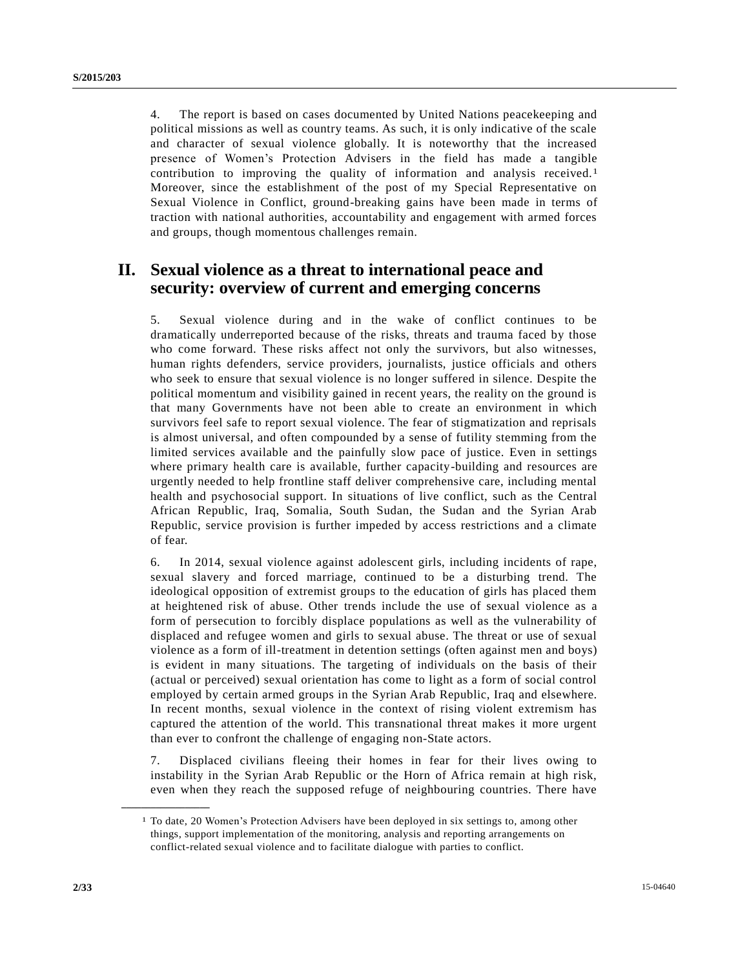4. The report is based on cases documented by United Nations peacekeeping and political missions as well as country teams. As such, it is only indicative of the scale and character of sexual violence globally. It is noteworthy that the increased presence of Women's Protection Advisers in the field has made a tangible contribution to improving the quality of information and analysis received.<sup>1</sup> Moreover, since the establishment of the post of my Special Representative on Sexual Violence in Conflict, ground-breaking gains have been made in terms of traction with national authorities, accountability and engagement with armed forces and groups, though momentous challenges remain.

# **II. Sexual violence as a threat to international peace and security: overview of current and emerging concerns**

5. Sexual violence during and in the wake of conflict continues to be dramatically underreported because of the risks, threats and trauma faced by those who come forward. These risks affect not only the survivors, but also witnesses, human rights defenders, service providers, journalists, justice officials and others who seek to ensure that sexual violence is no longer suffered in silence. Despite the political momentum and visibility gained in recent years, the reality on the ground is that many Governments have not been able to create an environment in which survivors feel safe to report sexual violence. The fear of stigmatization and reprisals is almost universal, and often compounded by a sense of futility stemming from the limited services available and the painfully slow pace of justice. Even in settings where primary health care is available, further capacity-building and resources are urgently needed to help frontline staff deliver comprehensive care, including mental health and psychosocial support. In situations of live conflict, such as the Central African Republic, Iraq, Somalia, South Sudan, the Sudan and the Syrian Arab Republic, service provision is further impeded by access restrictions and a climate of fear.

6. In 2014, sexual violence against adolescent girls, including incidents of rape, sexual slavery and forced marriage, continued to be a disturbing trend. The ideological opposition of extremist groups to the education of girls has placed them at heightened risk of abuse. Other trends include the use of sexual violence as a form of persecution to forcibly displace populations as well as the vulnerability of displaced and refugee women and girls to sexual abuse. The threat or use of sexual violence as a form of ill-treatment in detention settings (often against men and boys) is evident in many situations. The targeting of individuals on the basis of their (actual or perceived) sexual orientation has come to light as a form of social control employed by certain armed groups in the Syrian Arab Republic, Iraq and elsewhere. In recent months, sexual violence in the context of rising violent extremism has captured the attention of the world. This transnational threat makes it more urgent than ever to confront the challenge of engaging non-State actors.

7. Displaced civilians fleeing their homes in fear for their lives owing to instability in the Syrian Arab Republic or the Horn of Africa remain at high risk, even when they reach the supposed refuge of neighbouring countries. There have

**\_\_\_\_\_\_\_\_\_\_\_\_\_\_\_\_\_\_**

<sup>1</sup> To date, 20 Women's Protection Advisers have been deployed in six settings to, among other things, support implementation of the monitoring, analysis and reporting arrangements on conflict-related sexual violence and to facilitate dialogue with parties to conflict.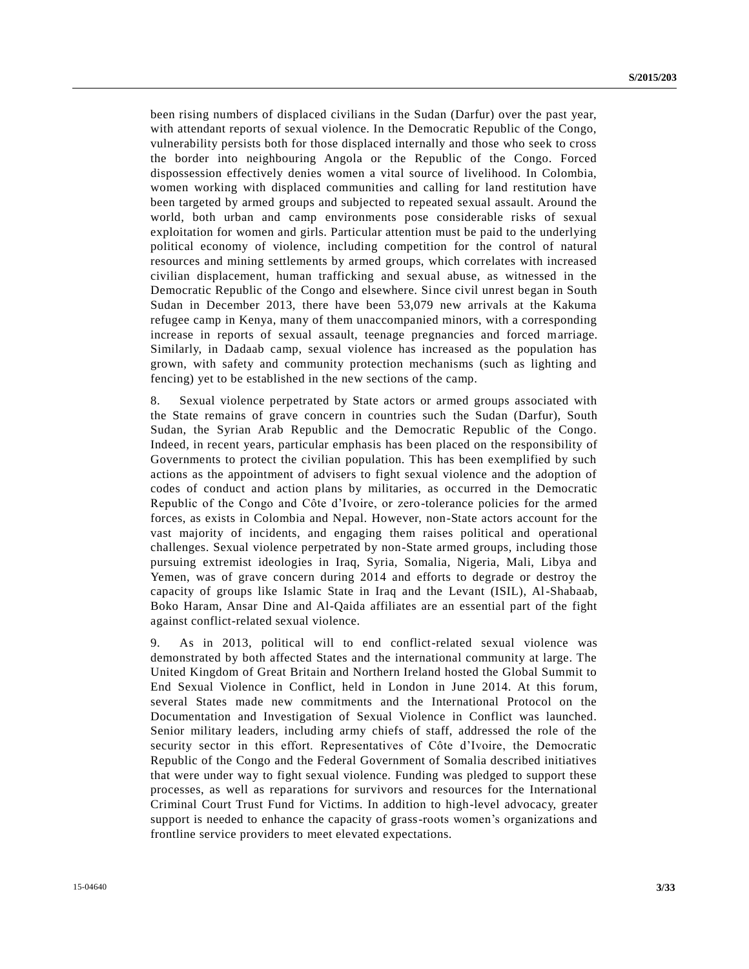been rising numbers of displaced civilians in the Sudan (Darfur) over the past year, with attendant reports of sexual violence. In the Democratic Republic of the Congo, vulnerability persists both for those displaced internally and those who seek to cross the border into neighbouring Angola or the Republic of the Congo. Forced dispossession effectively denies women a vital source of livelihood. In Colombia, women working with displaced communities and calling for land restitution have been targeted by armed groups and subjected to repeated sexual assault. Around the world, both urban and camp environments pose considerable risks of sexual exploitation for women and girls. Particular attention must be paid to the underlying political economy of violence, including competition for the control of natural resources and mining settlements by armed groups, which correlates with increased civilian displacement, human trafficking and sexual abuse, as witnessed in the Democratic Republic of the Congo and elsewhere. Since civil unrest began in South Sudan in December 2013, there have been 53,079 new arrivals at the Kakuma refugee camp in Kenya, many of them unaccompanied minors, with a corresponding increase in reports of sexual assault, teenage pregnancies and forced marriage. Similarly, in Dadaab camp, sexual violence has increased as the population has grown, with safety and community protection mechanisms (such as lighting and fencing) yet to be established in the new sections of the camp.

8. Sexual violence perpetrated by State actors or armed groups associated with the State remains of grave concern in countries such the Sudan (Darfur), South Sudan, the Syrian Arab Republic and the Democratic Republic of the Congo. Indeed, in recent years, particular emphasis has been placed on the responsibility of Governments to protect the civilian population. This has been exemplified by such actions as the appointment of advisers to fight sexual violence and the adoption of codes of conduct and action plans by militaries, as occurred in the Democratic Republic of the Congo and Côte d'Ivoire, or zero-tolerance policies for the armed forces, as exists in Colombia and Nepal. However, non-State actors account for the vast majority of incidents, and engaging them raises political and operational challenges. Sexual violence perpetrated by non-State armed groups, including those pursuing extremist ideologies in Iraq, Syria, Somalia, Nigeria, Mali, Libya and Yemen, was of grave concern during 2014 and efforts to degrade or destroy the capacity of groups like Islamic State in Iraq and the Levant (ISIL), Al-Shabaab, Boko Haram, Ansar Dine and Al-Qaida affiliates are an essential part of the fight against conflict-related sexual violence.

9. As in 2013, political will to end conflict-related sexual violence was demonstrated by both affected States and the international community at large. The United Kingdom of Great Britain and Northern Ireland hosted the Global Summit to End Sexual Violence in Conflict, held in London in June 2014. At this forum, several States made new commitments and the International Protocol on the Documentation and Investigation of Sexual Violence in Conflict was launched. Senior military leaders, including army chiefs of staff, addressed the role of the security sector in this effort. Representatives of Côte d'Ivoire, the Democratic Republic of the Congo and the Federal Government of Somalia described initiatives that were under way to fight sexual violence. Funding was pledged to support these processes, as well as reparations for survivors and resources for the International Criminal Court Trust Fund for Victims. In addition to high-level advocacy, greater support is needed to enhance the capacity of grass-roots women's organizations and frontline service providers to meet elevated expectations.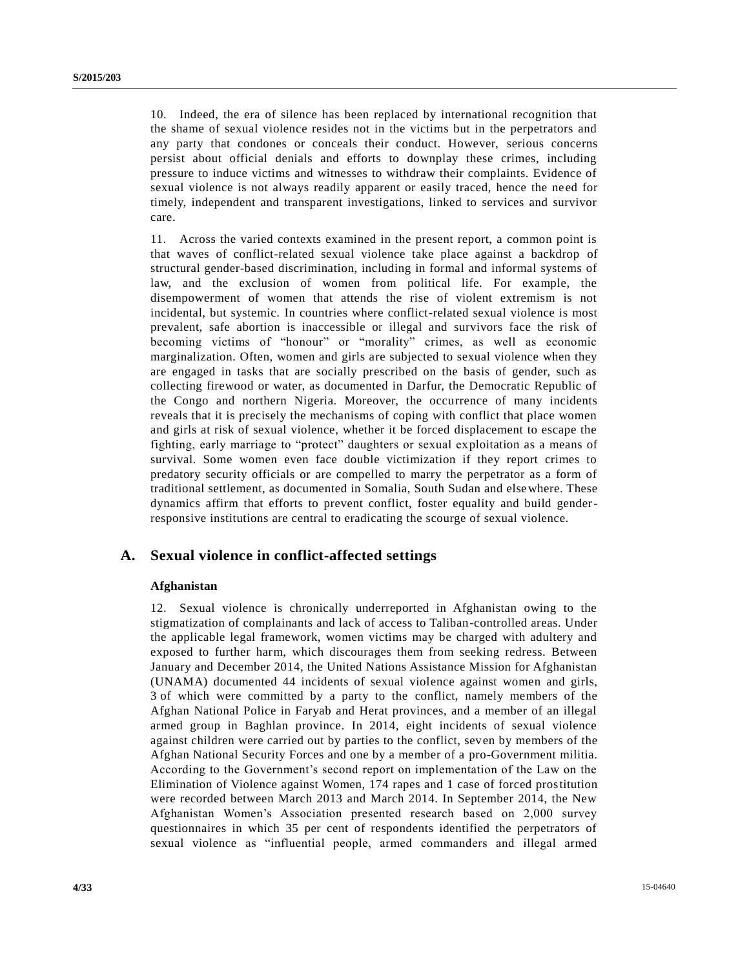10. Indeed, the era of silence has been replaced by international recognition that the shame of sexual violence resides not in the victims but in the perpetrators and any party that condones or conceals their conduct. However, serious concerns persist about official denials and efforts to downplay these crimes, including pressure to induce victims and witnesses to withdraw their complaints. Evidence of sexual violence is not always readily apparent or easily traced, hence the need for timely, independent and transparent investigations, linked to services and survivor care.

11. Across the varied contexts examined in the present report, a common point is that waves of conflict-related sexual violence take place against a backdrop of structural gender-based discrimination, including in formal and informal systems of law, and the exclusion of women from political life. For example, the disempowerment of women that attends the rise of violent extremism is not incidental, but systemic. In countries where conflict-related sexual violence is most prevalent, safe abortion is inaccessible or illegal and survivors face the risk of becoming victims of "honour" or "morality" crimes, as well as economic marginalization. Often, women and girls are subjected to sexual violence when they are engaged in tasks that are socially prescribed on the basis of gender, such as collecting firewood or water, as documented in Darfur, the Democratic Republic of the Congo and northern Nigeria. Moreover, the occurrence of many incidents reveals that it is precisely the mechanisms of coping with conflict that place women and girls at risk of sexual violence, whether it be forced displacement to escape the fighting, early marriage to "protect" daughters or sexual exploitation as a means of survival. Some women even face double victimization if they report crimes to predatory security officials or are compelled to marry the perpetrator as a form of traditional settlement, as documented in Somalia, South Sudan and elsewhere. These dynamics affirm that efforts to prevent conflict, foster equality and build genderresponsive institutions are central to eradicating the scourge of sexual violence.

# **A. Sexual violence in conflict-affected settings**

## **Afghanistan**

12. Sexual violence is chronically underreported in Afghanistan owing to the stigmatization of complainants and lack of access to Taliban-controlled areas. Under the applicable legal framework, women victims may be charged with adultery and exposed to further harm, which discourages them from seeking redress. Between January and December 2014, the United Nations Assistance Mission for Afghanistan (UNAMA) documented 44 incidents of sexual violence against women and girls, 3 of which were committed by a party to the conflict, namely members of the Afghan National Police in Faryab and Herat provinces, and a member of an illegal armed group in Baghlan province. In 2014, eight incidents of sexual violence against children were carried out by parties to the conflict, seven by members of the Afghan National Security Forces and one by a member of a pro-Government militia. According to the Government's second report on implementation of the Law on the Elimination of Violence against Women, 174 rapes and 1 case of forced prostitution were recorded between March 2013 and March 2014. In September 2014, the New Afghanistan Women's Association presented research based on 2,000 survey questionnaires in which 35 per cent of respondents identified the perpetrators of sexual violence as "influential people, armed commanders and illegal armed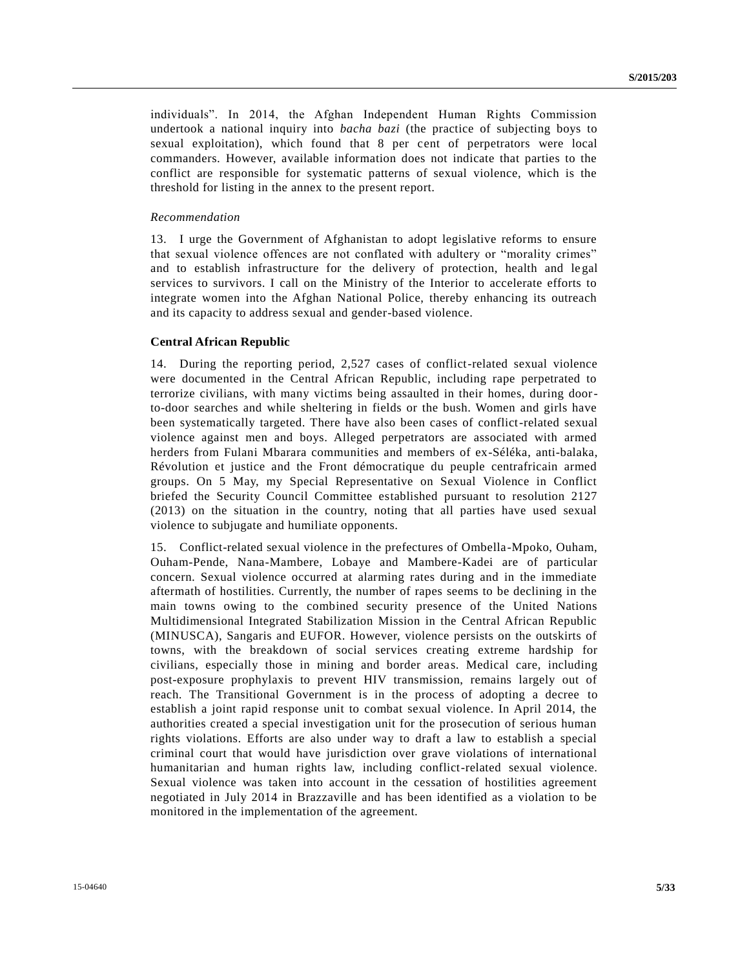individuals". In 2014, the Afghan Independent Human Rights Commission undertook a national inquiry into *bacha bazi* (the practice of subjecting boys to sexual exploitation), which found that 8 per cent of perpetrators were local commanders. However, available information does not indicate that parties to the conflict are responsible for systematic patterns of sexual violence, which is the threshold for listing in the annex to the present report.

#### *Recommendation*

13. I urge the Government of Afghanistan to adopt legislative reforms to ensure that sexual violence offences are not conflated with adultery or "morality crimes" and to establish infrastructure for the delivery of protection, health and legal services to survivors. I call on the Ministry of the Interior to accelerate efforts to integrate women into the Afghan National Police, thereby enhancing its outreach and its capacity to address sexual and gender-based violence.

#### **Central African Republic**

14. During the reporting period, 2,527 cases of conflict-related sexual violence were documented in the Central African Republic, including rape perpetrated to terrorize civilians, with many victims being assaulted in their homes, during doorto-door searches and while sheltering in fields or the bush. Women and girls have been systematically targeted. There have also been cases of conflict-related sexual violence against men and boys. Alleged perpetrators are associated with armed herders from Fulani Mbarara communities and members of ex-Séléka, anti-balaka, Révolution et justice and the Front démocratique du peuple centrafricain armed groups. On 5 May, my Special Representative on Sexual Violence in Conflict briefed the Security Council Committee established pursuant to resolution 2127 (2013) on the situation in the country, noting that all parties have used sexual violence to subjugate and humiliate opponents.

15. Conflict-related sexual violence in the prefectures of Ombella-Mpoko, Ouham, Ouham-Pende, Nana-Mambere, Lobaye and Mambere-Kadei are of particular concern. Sexual violence occurred at alarming rates during and in the immediate aftermath of hostilities. Currently, the number of rapes seems to be declining in the main towns owing to the combined security presence of the United Nations Multidimensional Integrated Stabilization Mission in the Central African Republic (MINUSCA), Sangaris and EUFOR. However, violence persists on the outskirts of towns, with the breakdown of social services creating extreme hardship for civilians, especially those in mining and border areas. Medical care, including post-exposure prophylaxis to prevent HIV transmission, remains largely out of reach. The Transitional Government is in the process of adopting a decree to establish a joint rapid response unit to combat sexual violence. In April 2014, the authorities created a special investigation unit for the prosecution of serious human rights violations. Efforts are also under way to draft a law to establish a special criminal court that would have jurisdiction over grave violations of international humanitarian and human rights law, including conflict-related sexual violence. Sexual violence was taken into account in the cessation of hostilities agreement negotiated in July 2014 in Brazzaville and has been identified as a violation to be monitored in the implementation of the agreement.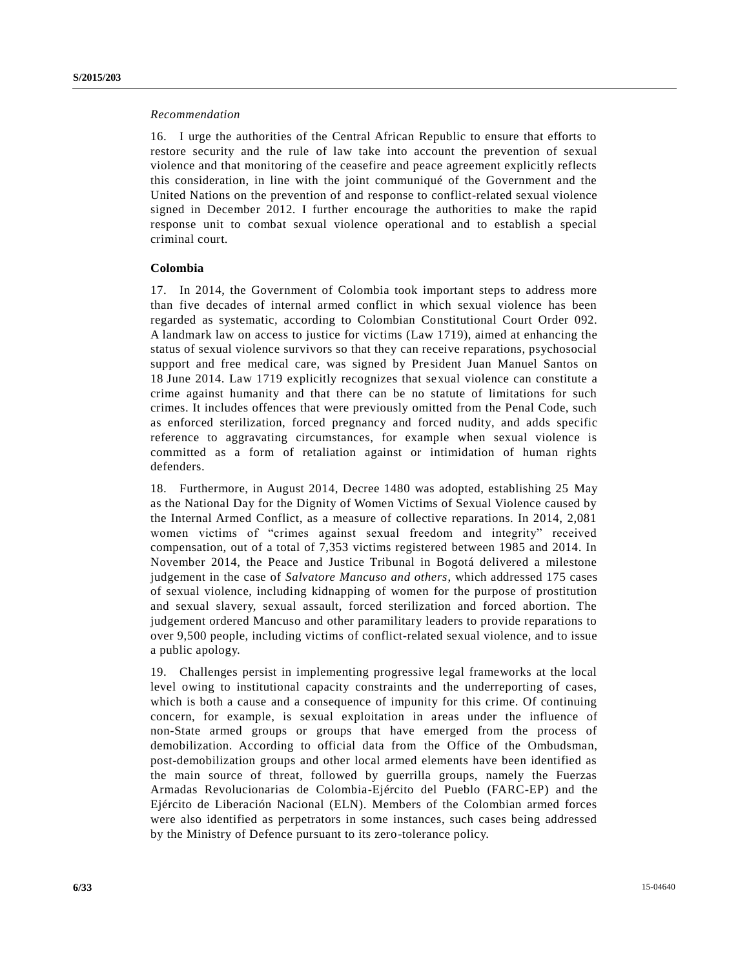## *Recommendation*

16. I urge the authorities of the Central African Republic to ensure that efforts to restore security and the rule of law take into account the prevention of sexual violence and that monitoring of the ceasefire and peace agreement explicitly reflects this consideration, in line with the joint communiqué of the Government and the United Nations on the prevention of and response to conflict-related sexual violence signed in December 2012. I further encourage the authorities to make the rapid response unit to combat sexual violence operational and to establish a special criminal court.

# **Colombia**

17. In 2014, the Government of Colombia took important steps to address more than five decades of internal armed conflict in which sexual violence has been regarded as systematic, according to Colombian Constitutional Court Order 092. A landmark law on access to justice for victims (Law 1719), aimed at enhancing the status of sexual violence survivors so that they can receive reparations, psychosocial support and free medical care, was signed by President Juan Manuel Santos on 18 June 2014. Law 1719 explicitly recognizes that sexual violence can constitute a crime against humanity and that there can be no statute of limitations for such crimes. It includes offences that were previously omitted from the Penal Code, such as enforced sterilization, forced pregnancy and forced nudity, and adds specific reference to aggravating circumstances, for example when sexual violence is committed as a form of retaliation against or intimidation of human rights defenders.

18. Furthermore, in August 2014, Decree 1480 was adopted, establishing 25 May as the National Day for the Dignity of Women Victims of Sexual Violence caused by the Internal Armed Conflict, as a measure of collective reparations. In 2014, 2,081 women victims of "crimes against sexual freedom and integrity" received compensation, out of a total of 7,353 victims registered between 1985 and 2014. In November 2014, the Peace and Justice Tribunal in Bogotá delivered a milestone judgement in the case of *Salvatore Mancuso and others*, which addressed 175 cases of sexual violence, including kidnapping of women for the purpose of prostitution and sexual slavery, sexual assault, forced sterilization and forced abortion. The judgement ordered Mancuso and other paramilitary leaders to provide reparations to over 9,500 people, including victims of conflict-related sexual violence, and to issue a public apology.

19. Challenges persist in implementing progressive legal frameworks at the local level owing to institutional capacity constraints and the underreporting of cases, which is both a cause and a consequence of impunity for this crime. Of continuing concern, for example, is sexual exploitation in areas under the influence of non-State armed groups or groups that have emerged from the process of demobilization. According to official data from the Office of the Ombudsman, post-demobilization groups and other local armed elements have been identified as the main source of threat, followed by guerrilla groups, namely the Fuerzas Armadas Revolucionarias de Colombia-Ejército del Pueblo (FARC-EP) and the Ejército de Liberación Nacional (ELN). Members of the Colombian armed forces were also identified as perpetrators in some instances, such cases being addressed by the Ministry of Defence pursuant to its zero-tolerance policy.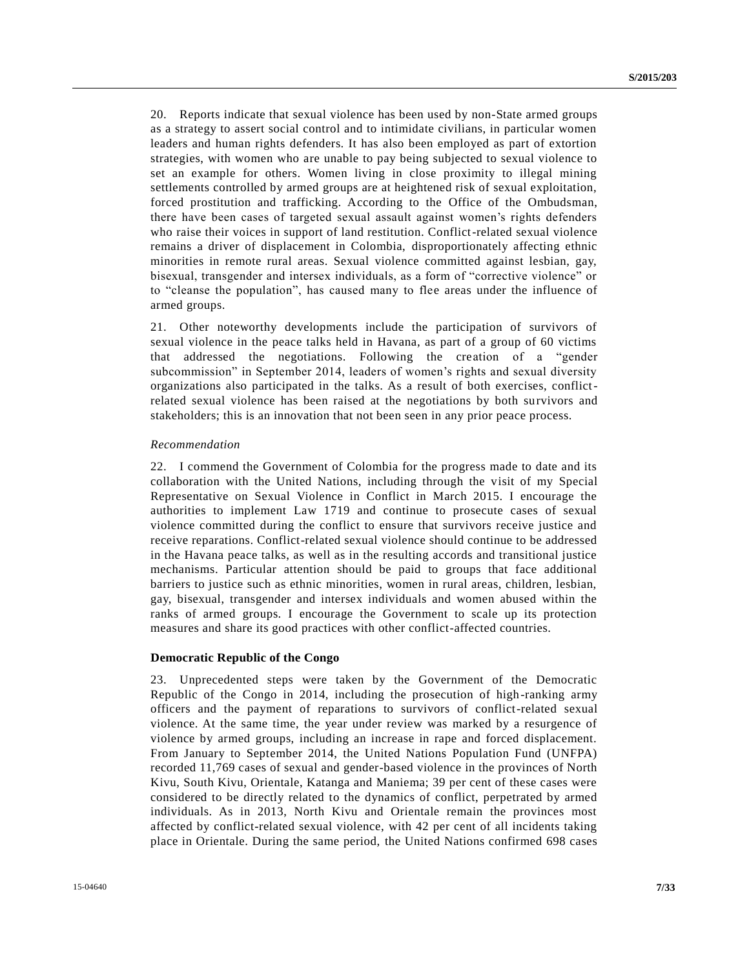20. Reports indicate that sexual violence has been used by non-State armed groups as a strategy to assert social control and to intimidate civilians, in particular women leaders and human rights defenders. It has also been employed as part of extortion strategies, with women who are unable to pay being subjected to sexual violence to set an example for others. Women living in close proximity to illegal mining settlements controlled by armed groups are at heightened risk of sexual exploitation, forced prostitution and trafficking. According to the Office of the Ombudsman, there have been cases of targeted sexual assault against women's rights defenders who raise their voices in support of land restitution. Conflict-related sexual violence remains a driver of displacement in Colombia, disproportionately affecting ethnic minorities in remote rural areas. Sexual violence committed against lesbian, gay, bisexual, transgender and intersex individuals, as a form of "corrective violence" or to "cleanse the population", has caused many to flee areas under the influence of armed groups.

21. Other noteworthy developments include the participation of survivors of sexual violence in the peace talks held in Havana, as part of a group of 60 victims that addressed the negotiations. Following the creation of a "gender subcommission" in September 2014, leaders of women's rights and sexual diversity organizations also participated in the talks. As a result of both exercises, conflictrelated sexual violence has been raised at the negotiations by both survivors and stakeholders; this is an innovation that not been seen in any prior peace process.

#### *Recommendation*

22. I commend the Government of Colombia for the progress made to date and its collaboration with the United Nations, including through the visit of my Special Representative on Sexual Violence in Conflict in March 2015. I encourage the authorities to implement Law 1719 and continue to prosecute cases of sexual violence committed during the conflict to ensure that survivors receive justice and receive reparations. Conflict-related sexual violence should continue to be addressed in the Havana peace talks, as well as in the resulting accords and transitional justice mechanisms. Particular attention should be paid to groups that face additional barriers to justice such as ethnic minorities, women in rural areas, children, lesbian, gay, bisexual, transgender and intersex individuals and women abused within the ranks of armed groups. I encourage the Government to scale up its protection measures and share its good practices with other conflict-affected countries.

#### **Democratic Republic of the Congo**

23. Unprecedented steps were taken by the Government of the Democratic Republic of the Congo in 2014, including the prosecution of high-ranking army officers and the payment of reparations to survivors of conflict-related sexual violence. At the same time, the year under review was marked by a resurgence of violence by armed groups, including an increase in rape and forced displacement. From January to September 2014, the United Nations Population Fund (UNFPA) recorded 11,769 cases of sexual and gender-based violence in the provinces of North Kivu, South Kivu, Orientale, Katanga and Maniema; 39 per cent of these cases were considered to be directly related to the dynamics of conflict, perpetrated by armed individuals. As in 2013, North Kivu and Orientale remain the provinces most affected by conflict-related sexual violence, with 42 per cent of all incidents taking place in Orientale. During the same period, the United Nations confirmed 698 cases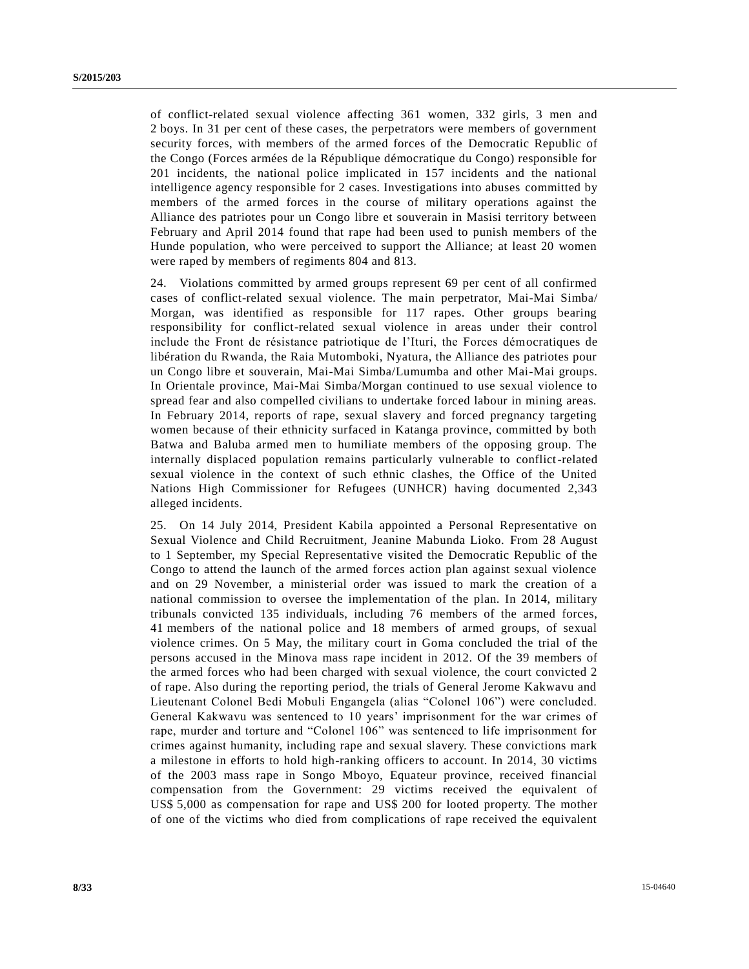of conflict-related sexual violence affecting 361 women, 332 girls, 3 men and 2 boys. In 31 per cent of these cases, the perpetrators were members of government security forces, with members of the armed forces of the Democratic Republic of the Congo (Forces armées de la République démocratique du Congo) responsible for 201 incidents, the national police implicated in 157 incidents and the national intelligence agency responsible for 2 cases. Investigations into abuses committed by members of the armed forces in the course of military operations against the Alliance des patriotes pour un Congo libre et souverain in Masisi territory between February and April 2014 found that rape had been used to punish members of the Hunde population, who were perceived to support the Alliance; at least 20 women were raped by members of regiments 804 and 813.

24. Violations committed by armed groups represent 69 per cent of all confirmed cases of conflict-related sexual violence. The main perpetrator, Mai-Mai Simba/ Morgan, was identified as responsible for 117 rapes. Other groups bearing responsibility for conflict-related sexual violence in areas under their control include the Front de résistance patriotique de l'Ituri, the Forces démocratiques de libération du Rwanda, the Raia Mutomboki, Nyatura, the Alliance des patriotes pour un Congo libre et souverain, Mai-Mai Simba/Lumumba and other Mai-Mai groups. In Orientale province, Mai-Mai Simba/Morgan continued to use sexual violence to spread fear and also compelled civilians to undertake forced labour in mining areas. In February 2014, reports of rape, sexual slavery and forced pregnancy targeting women because of their ethnicity surfaced in Katanga province, committed by both Batwa and Baluba armed men to humiliate members of the opposing group. The internally displaced population remains particularly vulnerable to conflict-related sexual violence in the context of such ethnic clashes, the Office of the United Nations High Commissioner for Refugees (UNHCR) having documented 2,343 alleged incidents.

25. On 14 July 2014, President Kabila appointed a Personal Representative on Sexual Violence and Child Recruitment, Jeanine Mabunda Lioko. From 28 August to 1 September, my Special Representative visited the Democratic Republic of the Congo to attend the launch of the armed forces action plan against sexual violence and on 29 November, a ministerial order was issued to mark the creation of a national commission to oversee the implementation of the plan. In 2014, military tribunals convicted 135 individuals, including 76 members of the armed forces, 41 members of the national police and 18 members of armed groups, of sexual violence crimes. On 5 May, the military court in Goma concluded the trial of the persons accused in the Minova mass rape incident in 2012. Of the 39 members of the armed forces who had been charged with sexual violence, the court convicted 2 of rape. Also during the reporting period, the trials of General Jerome Kakwavu and Lieutenant Colonel Bedi Mobuli Engangela (alias "Colonel 106") were concluded. General Kakwavu was sentenced to 10 years' imprisonment for the war crimes of rape, murder and torture and "Colonel 106" was sentenced to life imprisonment for crimes against humanity, including rape and sexual slavery. These convictions mark a milestone in efforts to hold high-ranking officers to account. In 2014, 30 victims of the 2003 mass rape in Songo Mboyo, Equateur province, received financial compensation from the Government: 29 victims received the equivalent of US\$ 5,000 as compensation for rape and US\$ 200 for looted property. The mother of one of the victims who died from complications of rape received the equivalent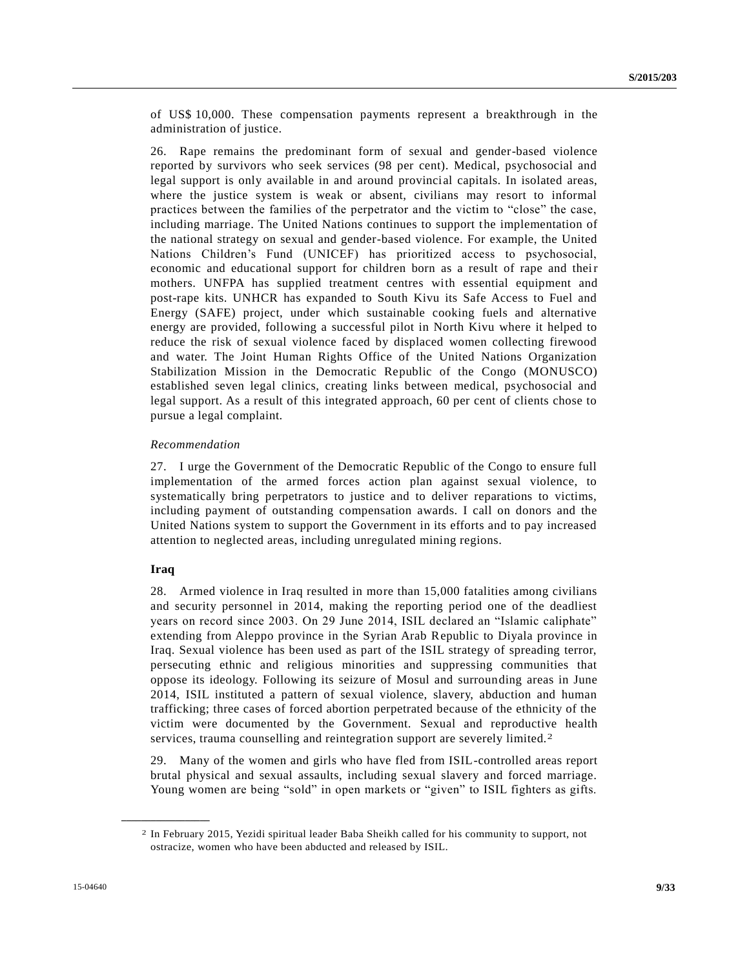of US\$ 10,000. These compensation payments represent a breakthrough in the administration of justice.

26. Rape remains the predominant form of sexual and gender-based violence reported by survivors who seek services (98 per cent). Medical, psychosocial and legal support is only available in and around provincial capitals. In isolated areas, where the justice system is weak or absent, civilians may resort to informal practices between the families of the perpetrator and the victim to "close" the case, including marriage. The United Nations continues to support the implementation of the national strategy on sexual and gender-based violence. For example, the United Nations Children's Fund (UNICEF) has prioritized access to psychosocial, economic and educational support for children born as a result of rape and their mothers. UNFPA has supplied treatment centres with essential equipment and post-rape kits. UNHCR has expanded to South Kivu its Safe Access to Fuel and Energy (SAFE) project, under which sustainable cooking fuels and alternative energy are provided, following a successful pilot in North Kivu where it helped to reduce the risk of sexual violence faced by displaced women collecting firewood and water. The Joint Human Rights Office of the United Nations Organization Stabilization Mission in the Democratic Republic of the Congo (MONUSCO) established seven legal clinics, creating links between medical, psychosocial and legal support. As a result of this integrated approach, 60 per cent of clients chose to pursue a legal complaint.

## *Recommendation*

27. I urge the Government of the Democratic Republic of the Congo to ensure full implementation of the armed forces action plan against sexual violence, to systematically bring perpetrators to justice and to deliver reparations to victims, including payment of outstanding compensation awards. I call on donors and the United Nations system to support the Government in its efforts and to pay increased attention to neglected areas, including unregulated mining regions.

### **Iraq**

**\_\_\_\_\_\_\_\_\_\_\_\_\_\_\_\_\_\_**

28. Armed violence in Iraq resulted in more than 15,000 fatalities among civilians and security personnel in 2014, making the reporting period one of the deadliest years on record since 2003. On 29 June 2014, ISIL declared an "Islamic caliphate" extending from Aleppo province in the Syrian Arab Republic to Diyala province in Iraq. Sexual violence has been used as part of the ISIL strategy of spreading terror, persecuting ethnic and religious minorities and suppressing communities that oppose its ideology. Following its seizure of Mosul and surrounding areas in June 2014, ISIL instituted a pattern of sexual violence, slavery, abduction and human trafficking; three cases of forced abortion perpetrated because of the ethnicity of the victim were documented by the Government. Sexual and reproductive health services, trauma counselling and reintegration support are severely limited.<sup>2</sup>

29. Many of the women and girls who have fled from ISIL-controlled areas report brutal physical and sexual assaults, including sexual slavery and forced marriage. Young women are being "sold" in open markets or "given" to ISIL fighters as gifts.

<sup>2</sup> In February 2015, Yezidi spiritual leader Baba Sheikh called for his community to support, not ostracize, women who have been abducted and released by ISIL.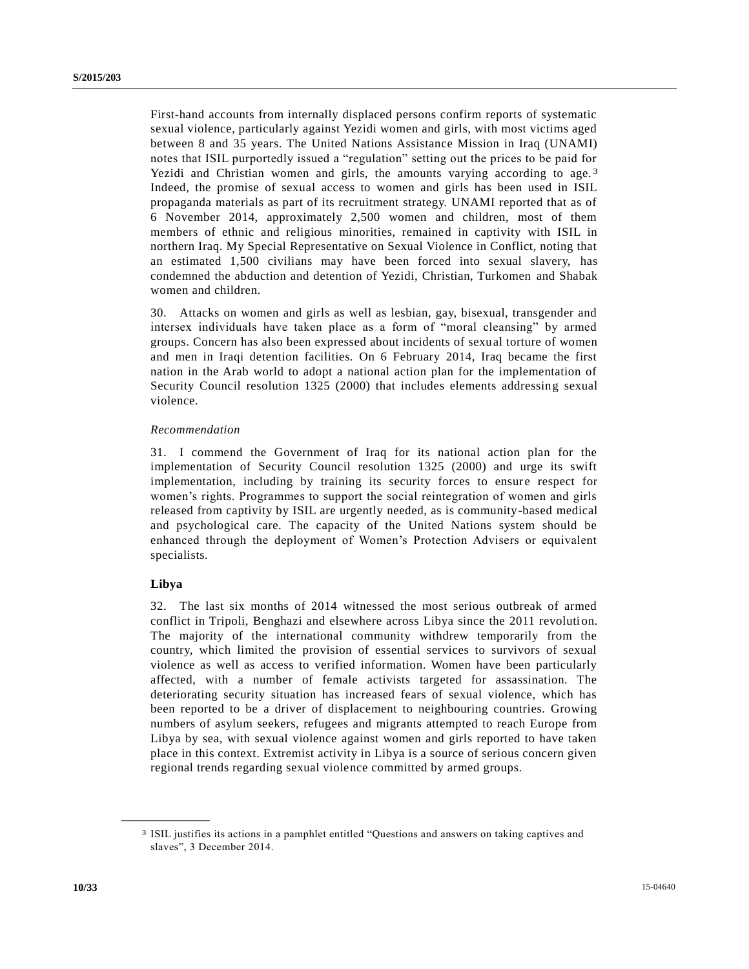First-hand accounts from internally displaced persons confirm reports of systematic sexual violence, particularly against Yezidi women and girls, with most victims aged between 8 and 35 years. The United Nations Assistance Mission in Iraq (UNAMI) notes that ISIL purportedly issued a "regulation" setting out the prices to be paid for Yezidi and Christian women and girls, the amounts varying according to age.<sup>3</sup> Indeed, the promise of sexual access to women and girls has been used in ISIL propaganda materials as part of its recruitment strategy. UNAMI reported that as of 6 November 2014, approximately 2,500 women and children, most of them members of ethnic and religious minorities, remained in captivity with ISIL in northern Iraq. My Special Representative on Sexual Violence in Conflict, noting that an estimated 1,500 civilians may have been forced into sexual slavery, has condemned the abduction and detention of Yezidi, Christian, Turkomen and Shabak women and children.

30. Attacks on women and girls as well as lesbian, gay, bisexual, transgender and intersex individuals have taken place as a form of "moral cleansing" by armed groups. Concern has also been expressed about incidents of sexual torture of women and men in Iraqi detention facilities. On 6 February 2014, Iraq became the first nation in the Arab world to adopt a national action plan for the implementation of Security Council resolution 1325 (2000) that includes elements addressing sexual violence.

## *Recommendation*

31. I commend the Government of Iraq for its national action plan for the implementation of Security Council resolution 1325 (2000) and urge its swift implementation, including by training its security forces to ensure respect for women's rights. Programmes to support the social reintegration of women and girls released from captivity by ISIL are urgently needed, as is community-based medical and psychological care. The capacity of the United Nations system should be enhanced through the deployment of Women's Protection Advisers or equivalent specialists.

## **Libya**

**\_\_\_\_\_\_\_\_\_\_\_\_\_\_\_\_\_\_**

32. The last six months of 2014 witnessed the most serious outbreak of armed conflict in Tripoli, Benghazi and elsewhere across Libya since the 2011 revoluti on. The majority of the international community withdrew temporarily from the country, which limited the provision of essential services to survivors of sexual violence as well as access to verified information. Women have been particularly affected, with a number of female activists targeted for assassination. The deteriorating security situation has increased fears of sexual violence, which has been reported to be a driver of displacement to neighbouring countries. Growing numbers of asylum seekers, refugees and migrants attempted to reach Europe from Libya by sea, with sexual violence against women and girls reported to have taken place in this context. Extremist activity in Libya is a source of serious concern given regional trends regarding sexual violence committed by armed groups.

<sup>3</sup> ISIL justifies its actions in a pamphlet entitled "Questions and answers on taking captives and slaves", 3 December 2014.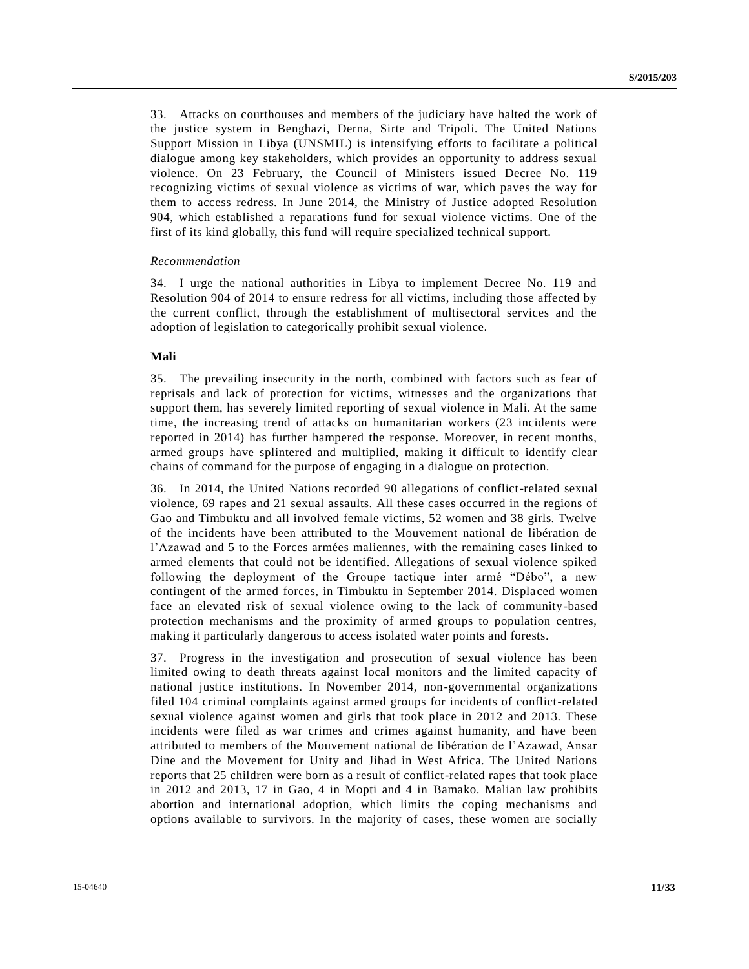33. Attacks on courthouses and members of the judiciary have halted the work of the justice system in Benghazi, Derna, Sirte and Tripoli. The United Nations Support Mission in Libya (UNSMIL) is intensifying efforts to facilitate a political dialogue among key stakeholders, which provides an opportunity to address sexual violence. On 23 February, the Council of Ministers issued Decree No. 119 recognizing victims of sexual violence as victims of war, which paves the way for them to access redress. In June 2014, the Ministry of Justice adopted Resolution 904, which established a reparations fund for sexual violence victims. One of the first of its kind globally, this fund will require specialized technical support.

#### *Recommendation*

34. I urge the national authorities in Libya to implement Decree No. 119 and Resolution 904 of 2014 to ensure redress for all victims, including those affected by the current conflict, through the establishment of multisectoral services and the adoption of legislation to categorically prohibit sexual violence.

# **Mali**

35. The prevailing insecurity in the north, combined with factors such as fear of reprisals and lack of protection for victims, witnesses and the organizations that support them, has severely limited reporting of sexual violence in Mali. At the same time, the increasing trend of attacks on humanitarian workers (23 incidents were reported in 2014) has further hampered the response. Moreover, in recent months, armed groups have splintered and multiplied, making it difficult to identify clear chains of command for the purpose of engaging in a dialogue on protection.

36. In 2014, the United Nations recorded 90 allegations of conflict-related sexual violence, 69 rapes and 21 sexual assaults. All these cases occurred in the regions of Gao and Timbuktu and all involved female victims, 52 women and 38 girls. Twelve of the incidents have been attributed to the Mouvement national de libération de l'Azawad and 5 to the Forces armées maliennes, with the remaining cases linked to armed elements that could not be identified. Allegations of sexual violence spiked following the deployment of the Groupe tactique inter armé "Débo", a new contingent of the armed forces, in Timbuktu in September 2014. Displaced women face an elevated risk of sexual violence owing to the lack of community-based protection mechanisms and the proximity of armed groups to population centres, making it particularly dangerous to access isolated water points and forests.

37. Progress in the investigation and prosecution of sexual violence has been limited owing to death threats against local monitors and the limited capacity of national justice institutions. In November 2014, non-governmental organizations filed 104 criminal complaints against armed groups for incidents of conflict-related sexual violence against women and girls that took place in 2012 and 2013. These incidents were filed as war crimes and crimes against humanity, and have been attributed to members of the Mouvement national de libération de l'Azawad, Ansar Dine and the Movement for Unity and Jihad in West Africa. The United Nations reports that 25 children were born as a result of conflict-related rapes that took place in 2012 and 2013, 17 in Gao, 4 in Mopti and 4 in Bamako. Malian law prohibits abortion and international adoption, which limits the coping mechanisms and options available to survivors. In the majority of cases, these women are socially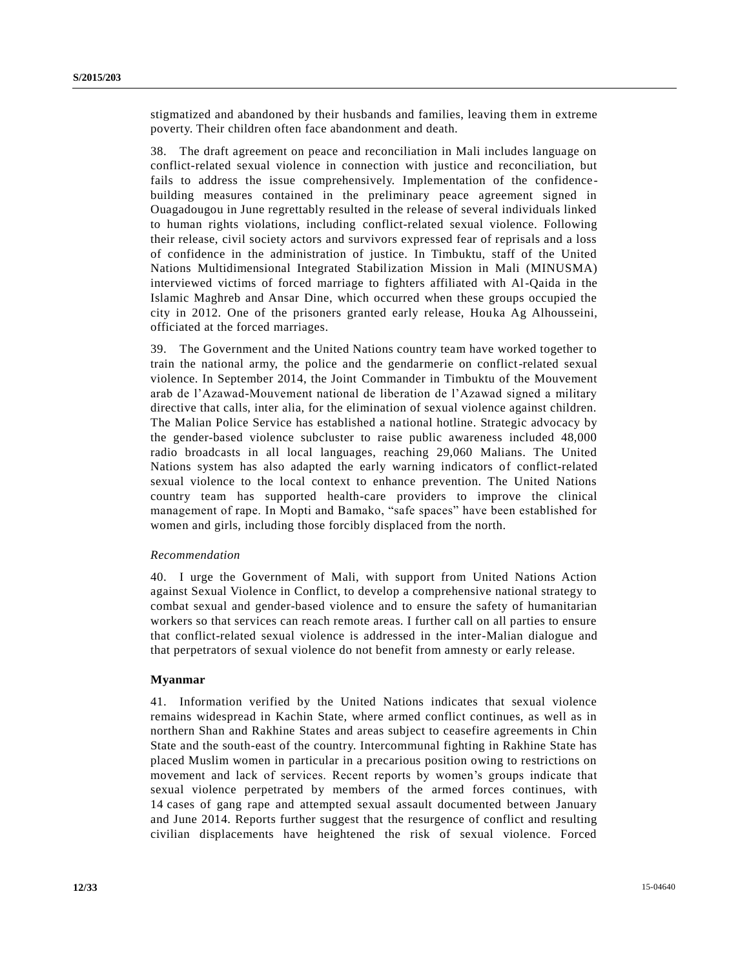stigmatized and abandoned by their husbands and families, leaving them in extreme poverty. Their children often face abandonment and death.

38. The draft agreement on peace and reconciliation in Mali includes language on conflict-related sexual violence in connection with justice and reconciliation, but fails to address the issue comprehensively. Implementation of the confidencebuilding measures contained in the preliminary peace agreement signed in Ouagadougou in June regrettably resulted in the release of several individuals linked to human rights violations, including conflict-related sexual violence. Following their release, civil society actors and survivors expressed fear of reprisals and a loss of confidence in the administration of justice. In Timbuktu, staff of the United Nations Multidimensional Integrated Stabilization Mission in Mali (MINUSMA) interviewed victims of forced marriage to fighters affiliated with Al-Qaida in the Islamic Maghreb and Ansar Dine, which occurred when these groups occupied the city in 2012. One of the prisoners granted early release, Houka Ag Alhousseini, officiated at the forced marriages.

39. The Government and the United Nations country team have worked together to train the national army, the police and the gendarmerie on conflict-related sexual violence. In September 2014, the Joint Commander in Timbuktu of the Mouvement arab de l'Azawad-Mouvement national de liberation de l'Azawad signed a military directive that calls, inter alia, for the elimination of sexual violence against children. The Malian Police Service has established a national hotline. Strategic advocacy by the gender-based violence subcluster to raise public awareness included 48,000 radio broadcasts in all local languages, reaching 29,060 Malians. The United Nations system has also adapted the early warning indicators of conflict-related sexual violence to the local context to enhance prevention. The United Nations country team has supported health-care providers to improve the clinical management of rape. In Mopti and Bamako, "safe spaces" have been established for women and girls, including those forcibly displaced from the north.

#### *Recommendation*

40. I urge the Government of Mali, with support from United Nations Action against Sexual Violence in Conflict, to develop a comprehensive national strategy to combat sexual and gender-based violence and to ensure the safety of humanitarian workers so that services can reach remote areas. I further call on all parties to ensure that conflict-related sexual violence is addressed in the inter-Malian dialogue and that perpetrators of sexual violence do not benefit from amnesty or early release.

### **Myanmar**

41. Information verified by the United Nations indicates that sexual violence remains widespread in Kachin State, where armed conflict continues, as well as in northern Shan and Rakhine States and areas subject to ceasefire agreements in Chin State and the south-east of the country. Intercommunal fighting in Rakhine State has placed Muslim women in particular in a precarious position owing to restrictions on movement and lack of services. Recent reports by women's groups indicate that sexual violence perpetrated by members of the armed forces continues, with 14 cases of gang rape and attempted sexual assault documented between January and June 2014. Reports further suggest that the resurgence of conflict and resulting civilian displacements have heightened the risk of sexual violence. Forced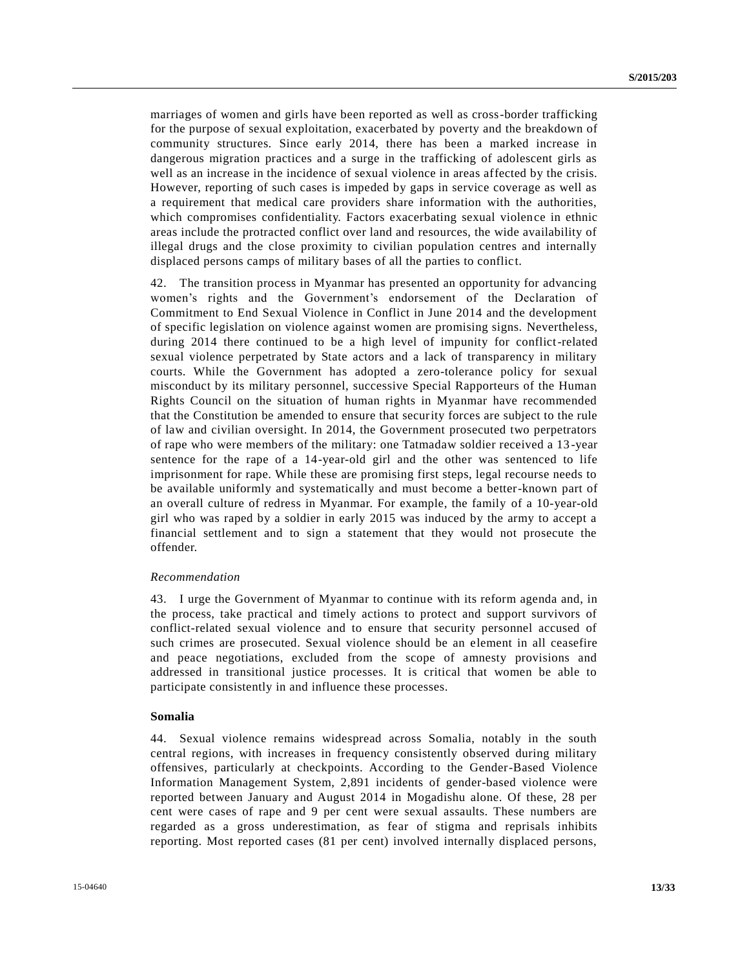marriages of women and girls have been reported as well as cross-border trafficking for the purpose of sexual exploitation, exacerbated by poverty and the breakdown of community structures. Since early 2014, there has been a marked increase in dangerous migration practices and a surge in the trafficking of adolescent girls as well as an increase in the incidence of sexual violence in areas affected by the crisis. However, reporting of such cases is impeded by gaps in service coverage as well as a requirement that medical care providers share information with the authorities, which compromises confidentiality. Factors exacerbating sexual violence in ethnic areas include the protracted conflict over land and resources, the wide availability of illegal drugs and the close proximity to civilian population centres and internally displaced persons camps of military bases of all the parties to conflic t.

42. The transition process in Myanmar has presented an opportunity for advancing women's rights and the Government's endorsement of the Declaration of Commitment to End Sexual Violence in Conflict in June 2014 and the development of specific legislation on violence against women are promising signs. Nevertheless, during 2014 there continued to be a high level of impunity for conflict-related sexual violence perpetrated by State actors and a lack of transparency in military courts. While the Government has adopted a zero-tolerance policy for sexual misconduct by its military personnel, successive Special Rapporteurs of the Human Rights Council on the situation of human rights in Myanmar have recommended that the Constitution be amended to ensure that security forces are subject to the rule of law and civilian oversight. In 2014, the Government prosecuted two perpetrators of rape who were members of the military: one Tatmadaw soldier received a 13 -year sentence for the rape of a 14-year-old girl and the other was sentenced to life imprisonment for rape. While these are promising first steps, legal recourse needs to be available uniformly and systematically and must become a better-known part of an overall culture of redress in Myanmar. For example, the family of a 10-year-old girl who was raped by a soldier in early 2015 was induced by the army to accept a financial settlement and to sign a statement that they would not prosecute the offender.

#### *Recommendation*

43. I urge the Government of Myanmar to continue with its reform agenda and, in the process, take practical and timely actions to protect and support survivors of conflict-related sexual violence and to ensure that security personnel accused of such crimes are prosecuted. Sexual violence should be an element in all ceasefire and peace negotiations, excluded from the scope of amnesty provisions and addressed in transitional justice processes. It is critical that women be able to participate consistently in and influence these processes.

#### **Somalia**

44. Sexual violence remains widespread across Somalia, notably in the south central regions, with increases in frequency consistently observed during military offensives, particularly at checkpoints. According to the Gender-Based Violence Information Management System, 2,891 incidents of gender-based violence were reported between January and August 2014 in Mogadishu alone. Of these, 28 per cent were cases of rape and 9 per cent were sexual assaults. These numbers are regarded as a gross underestimation, as fear of stigma and reprisals inhibits reporting. Most reported cases (81 per cent) involved internally displaced persons,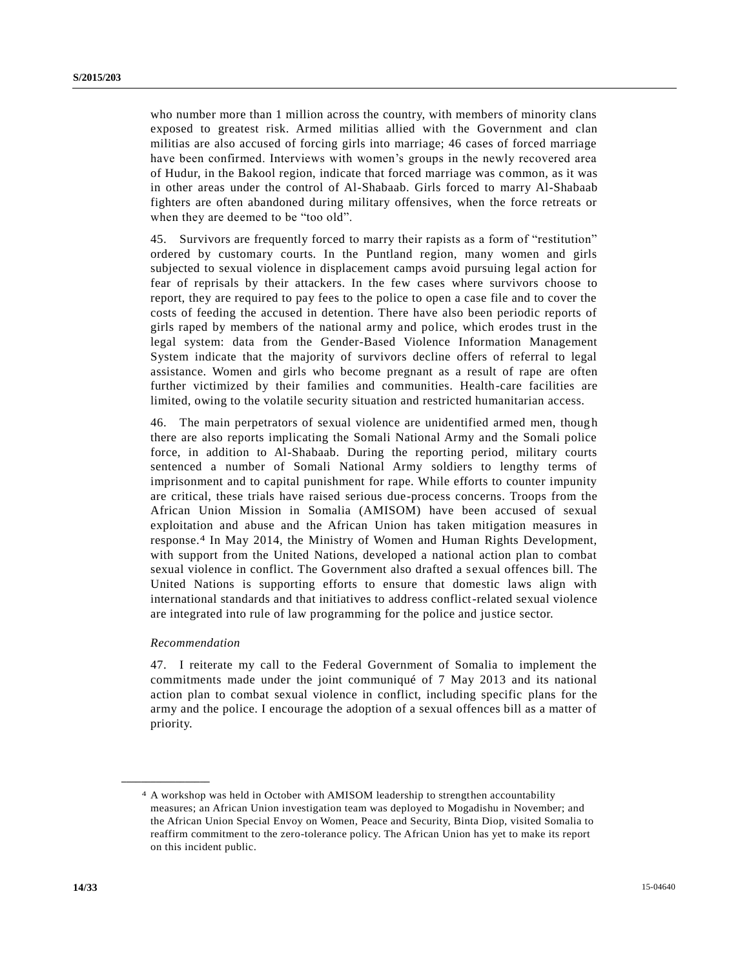who number more than 1 million across the country, with members of minority clans exposed to greatest risk. Armed militias allied with the Government and clan militias are also accused of forcing girls into marriage; 46 cases of forced marriage have been confirmed. Interviews with women's groups in the newly recovered area of Hudur, in the Bakool region, indicate that forced marriage was common, as it was in other areas under the control of Al-Shabaab. Girls forced to marry Al-Shabaab fighters are often abandoned during military offensives, when the force retreats or when they are deemed to be "too old".

45. Survivors are frequently forced to marry their rapists as a form of "restitution" ordered by customary courts. In the Puntland region, many women and girls subjected to sexual violence in displacement camps avoid pursuing legal action for fear of reprisals by their attackers. In the few cases where survivors choose to report, they are required to pay fees to the police to open a case file and to cover the costs of feeding the accused in detention. There have also been periodic reports of girls raped by members of the national army and police, which erodes trust in the legal system: data from the Gender-Based Violence Information Management System indicate that the majority of survivors decline offers of referral to legal assistance. Women and girls who become pregnant as a result of rape are often further victimized by their families and communities. Health-care facilities are limited, owing to the volatile security situation and restricted humanitarian access.

46. The main perpetrators of sexual violence are unidentified armed men, thoug h there are also reports implicating the Somali National Army and the Somali police force, in addition to Al-Shabaab. During the reporting period, military courts sentenced a number of Somali National Army soldiers to lengthy terms of imprisonment and to capital punishment for rape. While efforts to counter impunity are critical, these trials have raised serious due-process concerns. Troops from the African Union Mission in Somalia (AMISOM) have been accused of sexual exploitation and abuse and the African Union has taken mitigation measures in response.4 In May 2014, the Ministry of Women and Human Rights Development, with support from the United Nations, developed a national action plan to combat sexual violence in conflict. The Government also drafted a sexual offences bill. The United Nations is supporting efforts to ensure that domestic laws align with international standards and that initiatives to address conflict-related sexual violence are integrated into rule of law programming for the police and justice sector.

#### *Recommendation*

**\_\_\_\_\_\_\_\_\_\_\_\_\_\_\_\_\_\_**

47. I reiterate my call to the Federal Government of Somalia to implement the commitments made under the joint communiqué of 7 May 2013 and its national action plan to combat sexual violence in conflict, including specific plans for the army and the police. I encourage the adoption of a sexual offences bill as a matter of priority.

<sup>4</sup> A workshop was held in October with AMISOM leadership to strengthen accountability measures; an African Union investigation team was deployed to Mogadishu in November; and the African Union Special Envoy on Women, Peace and Security, Binta Diop, visited Somalia to reaffirm commitment to the zero-tolerance policy. The African Union has yet to make its report on this incident public.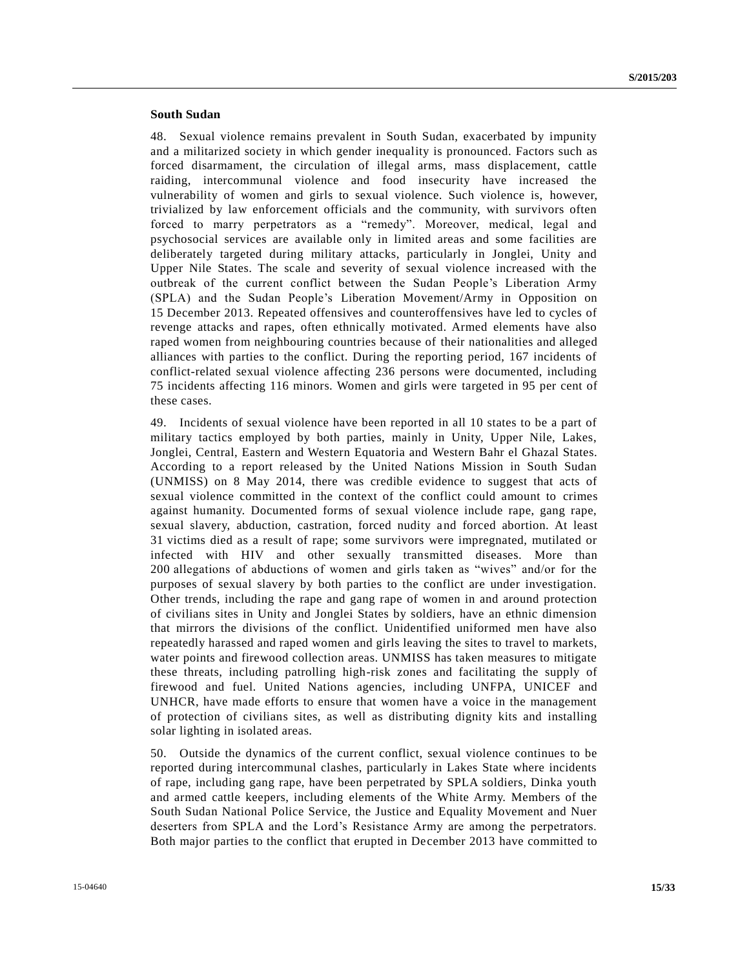# **South Sudan**

48. Sexual violence remains prevalent in South Sudan, exacerbated by impunity and a militarized society in which gender inequality is pronounced. Factors such as forced disarmament, the circulation of illegal arms, mass displacement, cattle raiding, intercommunal violence and food insecurity have increased the vulnerability of women and girls to sexual violence. Such violence is, however, trivialized by law enforcement officials and the community, with survivors often forced to marry perpetrators as a "remedy". Moreover, medical, legal and psychosocial services are available only in limited areas and some facilities are deliberately targeted during military attacks, particularly in Jonglei, Unity and Upper Nile States. The scale and severity of sexual violence increased with the outbreak of the current conflict between the Sudan People's Liberation Army (SPLA) and the Sudan People's Liberation Movement/Army in Opposition on 15 December 2013. Repeated offensives and counteroffensives have led to cycles of revenge attacks and rapes, often ethnically motivated. Armed elements have also raped women from neighbouring countries because of their nationalities and alleged alliances with parties to the conflict. During the reporting period, 167 incidents of conflict-related sexual violence affecting 236 persons were documented, including 75 incidents affecting 116 minors. Women and girls were targeted in 95 per cent of these cases.

49. Incidents of sexual violence have been reported in all 10 states to be a part of military tactics employed by both parties, mainly in Unity, Upper Nile, Lakes, Jonglei, Central, Eastern and Western Equatoria and Western Bahr el Ghazal States. According to a report released by the United Nations Mission in South Sudan (UNMISS) on 8 May 2014, there was credible evidence to suggest that acts of sexual violence committed in the context of the conflict could amount to crimes against humanity. Documented forms of sexual violence include rape, gang rape, sexual slavery, abduction, castration, forced nudity and forced abortion. At least 31 victims died as a result of rape; some survivors were impregnated, mutilated or infected with HIV and other sexually transmitted diseases. More than 200 allegations of abductions of women and girls taken as "wives" and/or for the purposes of sexual slavery by both parties to the conflict are under investigation. Other trends, including the rape and gang rape of women in and around protection of civilians sites in Unity and Jonglei States by soldiers, have an ethnic dimension that mirrors the divisions of the conflict. Unidentified uniformed men have also repeatedly harassed and raped women and girls leaving the sites to travel to markets, water points and firewood collection areas. UNMISS has taken measures to mitigate these threats, including patrolling high-risk zones and facilitating the supply of firewood and fuel. United Nations agencies, including UNFPA, UNICEF and UNHCR, have made efforts to ensure that women have a voice in the management of protection of civilians sites, as well as distributing dignity kits and installing solar lighting in isolated areas.

50. Outside the dynamics of the current conflict, sexual violence continues to be reported during intercommunal clashes, particularly in Lakes State where incidents of rape, including gang rape, have been perpetrated by SPLA soldiers, Dinka youth and armed cattle keepers, including elements of the White Army. Members of the South Sudan National Police Service, the Justice and Equality Movement and Nuer deserters from SPLA and the Lord's Resistance Army are among the perpetrators. Both major parties to the conflict that erupted in December 2013 have committed to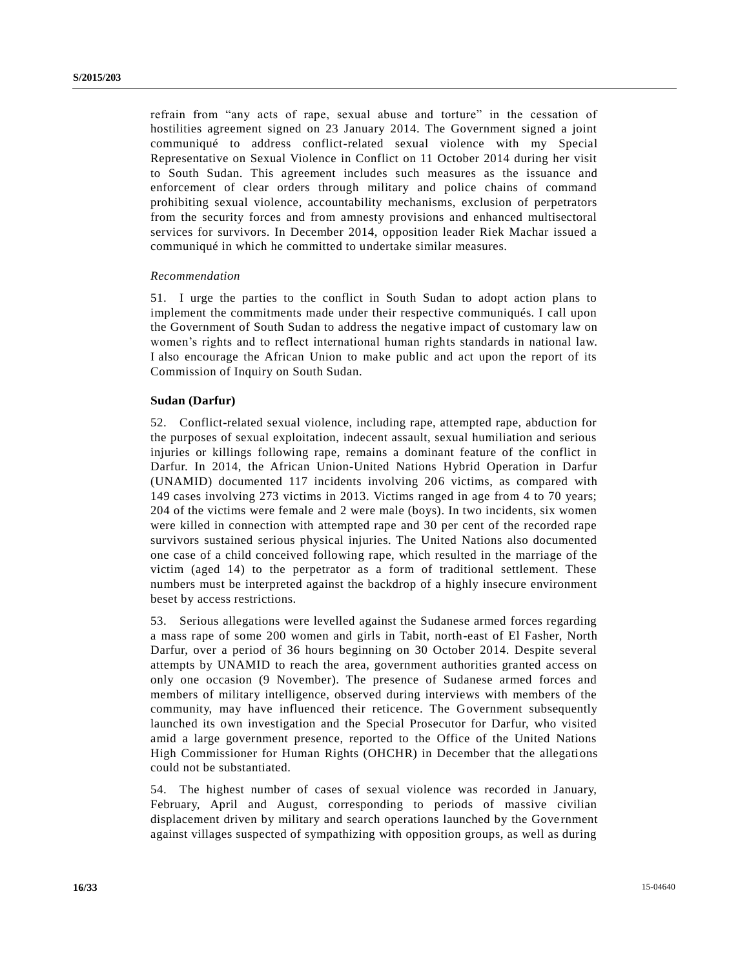refrain from "any acts of rape, sexual abuse and torture" in the cessation of hostilities agreement signed on 23 January 2014. The Government signed a joint communiqué to address conflict-related sexual violence with my Special Representative on Sexual Violence in Conflict on 11 October 2014 during her visit to South Sudan. This agreement includes such measures as the issuance and enforcement of clear orders through military and police chains of command prohibiting sexual violence, accountability mechanisms, exclusion of perpetrators from the security forces and from amnesty provisions and enhanced multisectoral services for survivors. In December 2014, opposition leader Riek Machar issued a communiqué in which he committed to undertake similar measures.

#### *Recommendation*

51. I urge the parties to the conflict in South Sudan to adopt action plans to implement the commitments made under their respective communiqués. I call upon the Government of South Sudan to address the negative impact of customary law on women's rights and to reflect international human rights standards in national law. I also encourage the African Union to make public and act upon the report of its Commission of Inquiry on South Sudan.

#### **Sudan (Darfur)**

52. Conflict-related sexual violence, including rape, attempted rape, abduction for the purposes of sexual exploitation, indecent assault, sexual humiliation and serious injuries or killings following rape, remains a dominant feature of the conflict in Darfur. In 2014, the African Union-United Nations Hybrid Operation in Darfur (UNAMID) documented 117 incidents involving 206 victims, as compared with 149 cases involving 273 victims in 2013. Victims ranged in age from 4 to 70 years; 204 of the victims were female and 2 were male (boys). In two incidents, six women were killed in connection with attempted rape and 30 per cent of the recorded rape survivors sustained serious physical injuries. The United Nations also documented one case of a child conceived following rape, which resulted in the marriage of the victim (aged 14) to the perpetrator as a form of traditional settlement. These numbers must be interpreted against the backdrop of a highly insecure environment beset by access restrictions.

53. Serious allegations were levelled against the Sudanese armed forces regarding a mass rape of some 200 women and girls in Tabit, north-east of El Fasher, North Darfur, over a period of 36 hours beginning on 30 October 2014. Despite several attempts by UNAMID to reach the area, government authorities granted access on only one occasion (9 November). The presence of Sudanese armed forces and members of military intelligence, observed during interviews with members of the community, may have influenced their reticence. The Government subsequently launched its own investigation and the Special Prosecutor for Darfur, who visited amid a large government presence, reported to the Office of the United Nations High Commissioner for Human Rights (OHCHR) in December that the allegations could not be substantiated.

54. The highest number of cases of sexual violence was recorded in January, February, April and August, corresponding to periods of massive civilian displacement driven by military and search operations launched by the Government against villages suspected of sympathizing with opposition groups, as well as during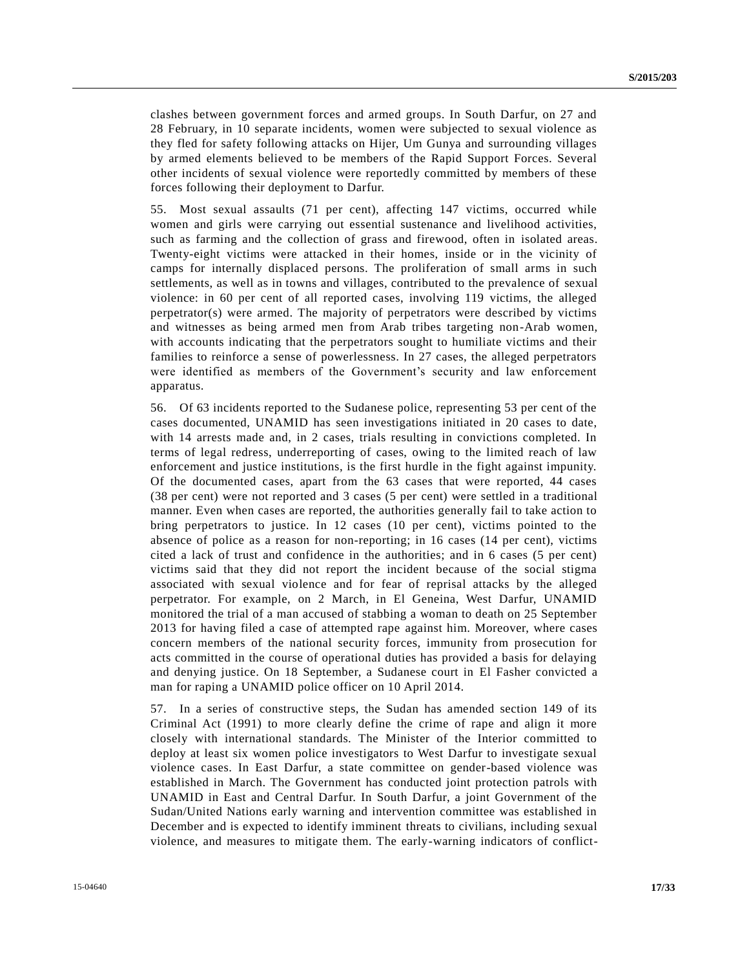clashes between government forces and armed groups. In South Darfur, on 27 and 28 February, in 10 separate incidents, women were subjected to sexual violence as they fled for safety following attacks on Hijer, Um Gunya and surrounding villages by armed elements believed to be members of the Rapid Support Forces. Several other incidents of sexual violence were reportedly committed by members of these forces following their deployment to Darfur.

55. Most sexual assaults (71 per cent), affecting 147 victims, occurred while women and girls were carrying out essential sustenance and livelihood activities, such as farming and the collection of grass and firewood, often in isolated areas. Twenty-eight victims were attacked in their homes, inside or in the vicinity of camps for internally displaced persons. The proliferation of small arms in such settlements, as well as in towns and villages, contributed to the prevalence of sexual violence: in 60 per cent of all reported cases, involving 119 victims, the alleged perpetrator(s) were armed. The majority of perpetrators were described by victims and witnesses as being armed men from Arab tribes targeting non-Arab women, with accounts indicating that the perpetrators sought to humiliate victims and their families to reinforce a sense of powerlessness. In 27 cases, the alleged perpetrators were identified as members of the Government's security and law enforcement apparatus.

56. Of 63 incidents reported to the Sudanese police, representing 53 per cent of the cases documented, UNAMID has seen investigations initiated in 20 cases to date, with 14 arrests made and, in 2 cases, trials resulting in convictions completed. In terms of legal redress, underreporting of cases, owing to the limited reach of law enforcement and justice institutions, is the first hurdle in the fight against impunity. Of the documented cases, apart from the 63 cases that were reported, 44 cases (38 per cent) were not reported and 3 cases (5 per cent) were settled in a traditional manner. Even when cases are reported, the authorities generally fail to take action to bring perpetrators to justice. In 12 cases (10 per cent), victims pointed to the absence of police as a reason for non-reporting; in 16 cases (14 per cent), victims cited a lack of trust and confidence in the authorities; and in 6 cases (5 per cent) victims said that they did not report the incident because of the social stigma associated with sexual violence and for fear of reprisal attacks by the alleged perpetrator. For example, on 2 March, in El Geneina, West Darfur, UNAMID monitored the trial of a man accused of stabbing a woman to death on 25 September 2013 for having filed a case of attempted rape against him. Moreover, where cases concern members of the national security forces, immunity from prosecution for acts committed in the course of operational duties has provided a basis for delaying and denying justice. On 18 September, a Sudanese court in El Fasher convicted a man for raping a UNAMID police officer on 10 April 2014.

57. In a series of constructive steps, the Sudan has amended section 149 of its Criminal Act (1991) to more clearly define the crime of rape and align it more closely with international standards. The Minister of the Interior committed to deploy at least six women police investigators to West Darfur to investigate sexual violence cases. In East Darfur, a state committee on gender-based violence was established in March. The Government has conducted joint protection patrols with UNAMID in East and Central Darfur. In South Darfur, a joint Government of the Sudan/United Nations early warning and intervention committee was established in December and is expected to identify imminent threats to civilians, including sexual violence, and measures to mitigate them. The early-warning indicators of conflict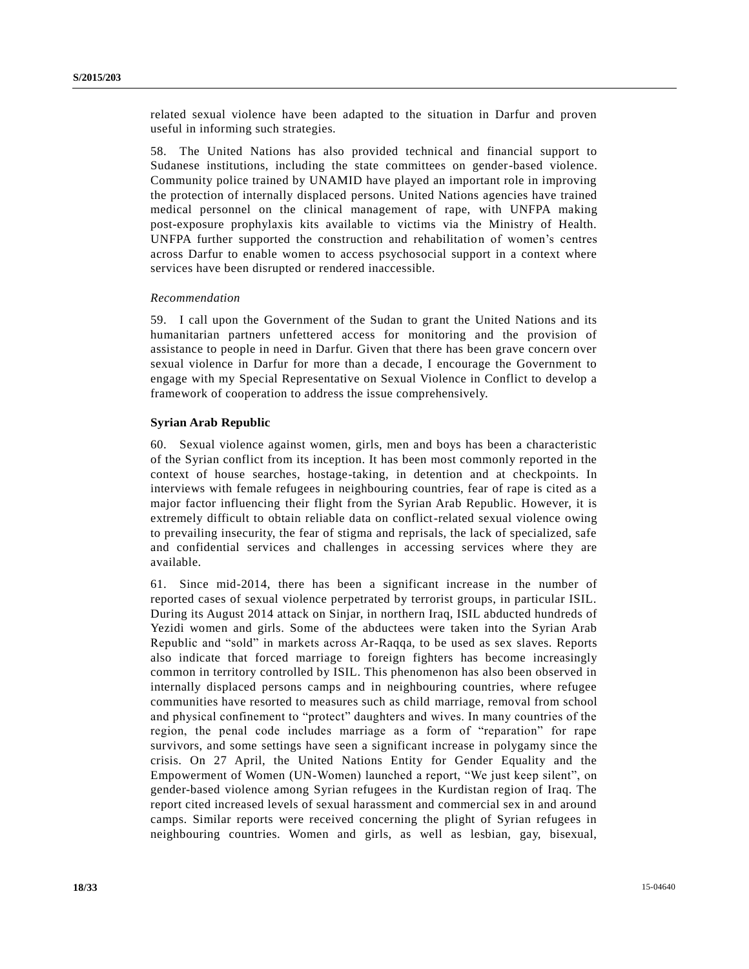related sexual violence have been adapted to the situation in Darfur and proven useful in informing such strategies.

58. The United Nations has also provided technical and financial support to Sudanese institutions, including the state committees on gender-based violence. Community police trained by UNAMID have played an important role in improving the protection of internally displaced persons. United Nations agencies have trained medical personnel on the clinical management of rape, with UNFPA making post-exposure prophylaxis kits available to victims via the Ministry of Health. UNFPA further supported the construction and rehabilitation of women's centres across Darfur to enable women to access psychosocial support in a context where services have been disrupted or rendered inaccessible.

#### *Recommendation*

59. I call upon the Government of the Sudan to grant the United Nations and its humanitarian partners unfettered access for monitoring and the provision of assistance to people in need in Darfur. Given that there has been grave concern over sexual violence in Darfur for more than a decade, I encourage the Government to engage with my Special Representative on Sexual Violence in Conflict to develop a framework of cooperation to address the issue comprehensively.

#### **Syrian Arab Republic**

60. Sexual violence against women, girls, men and boys has been a characteristic of the Syrian conflict from its inception. It has been most commonly reported in the context of house searches, hostage-taking, in detention and at checkpoints. In interviews with female refugees in neighbouring countries, fear of rape is cited as a major factor influencing their flight from the Syrian Arab Republic. However, it is extremely difficult to obtain reliable data on conflict-related sexual violence owing to prevailing insecurity, the fear of stigma and reprisals, the lack of specialized, safe and confidential services and challenges in accessing services where they are available.

61. Since mid-2014, there has been a significant increase in the number of reported cases of sexual violence perpetrated by terrorist groups, in particular ISIL. During its August 2014 attack on Sinjar, in northern Iraq, ISIL abducted hundreds of Yezidi women and girls. Some of the abductees were taken into the Syrian Arab Republic and "sold" in markets across Ar-Raqqa, to be used as sex slaves. Reports also indicate that forced marriage to foreign fighters has become increasingly common in territory controlled by ISIL. This phenomenon has also been observed in internally displaced persons camps and in neighbouring countries, where refugee communities have resorted to measures such as child marriage, removal from school and physical confinement to "protect" daughters and wives. In many countries of the region, the penal code includes marriage as a form of "reparation" for rape survivors, and some settings have seen a significant increase in polygamy since the crisis. On 27 April, the United Nations Entity for Gender Equality and the Empowerment of Women (UN-Women) launched a report, "We just keep silent", on gender-based violence among Syrian refugees in the Kurdistan region of Iraq. The report cited increased levels of sexual harassment and commercial sex in and around camps. Similar reports were received concerning the plight of Syrian refugees in neighbouring countries. Women and girls, as well as lesbian, gay, bisexual,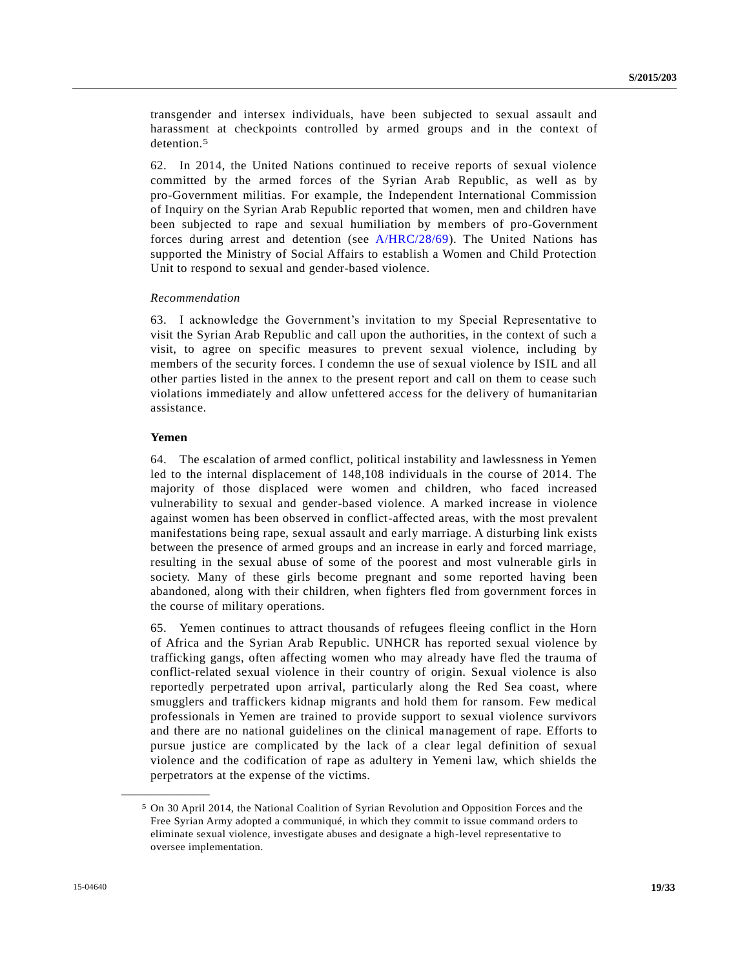transgender and intersex individuals, have been subjected to sexual assault and harassment at checkpoints controlled by armed groups and in the context of detention.<sup>5</sup>

62. In 2014, the United Nations continued to receive reports of sexual violence committed by the armed forces of the Syrian Arab Republic, as well as by pro-Government militias. For example, the Independent International Commission of Inquiry on the Syrian Arab Republic reported that women, men and children have been subjected to rape and sexual humiliation by members of pro-Government forces during arrest and detention (see [A/HRC/28/69\)](http://undocs.org/A/HRC/28/69). The United Nations has supported the Ministry of Social Affairs to establish a Women and Child Protection Unit to respond to sexual and gender-based violence.

#### *Recommendation*

63. I acknowledge the Government's invitation to my Special Representative to visit the Syrian Arab Republic and call upon the authorities, in the context of such a visit, to agree on specific measures to prevent sexual violence, including by members of the security forces. I condemn the use of sexual violence by ISIL and all other parties listed in the annex to the present report and call on them to cease such violations immediately and allow unfettered access for the delivery of humanitarian assistance.

#### **Yemen**

**\_\_\_\_\_\_\_\_\_\_\_\_\_\_\_\_\_\_**

64. The escalation of armed conflict, political instability and lawlessness in Yemen led to the internal displacement of 148,108 individuals in the course of 2014. The majority of those displaced were women and children, who faced increased vulnerability to sexual and gender-based violence. A marked increase in violence against women has been observed in conflict-affected areas, with the most prevalent manifestations being rape, sexual assault and early marriage. A disturbing link exists between the presence of armed groups and an increase in early and forced marriage, resulting in the sexual abuse of some of the poorest and most vulnerable girls in society. Many of these girls become pregnant and some reported having been abandoned, along with their children, when fighters fled from government forces in the course of military operations.

65. Yemen continues to attract thousands of refugees fleeing conflict in the Horn of Africa and the Syrian Arab Republic. UNHCR has reported sexual violence by trafficking gangs, often affecting women who may already have fled the trauma of conflict-related sexual violence in their country of origin. Sexual violence is also reportedly perpetrated upon arrival, particularly along the Red Sea coast, where smugglers and traffickers kidnap migrants and hold them for ransom. Few medical professionals in Yemen are trained to provide support to sexual violence survivors and there are no national guidelines on the clinical management of rape. Efforts to pursue justice are complicated by the lack of a clear legal definition of sexual violence and the codification of rape as adultery in Yemeni law, which shields the perpetrators at the expense of the victims.

<sup>5</sup> On 30 April 2014, the National Coalition of Syrian Revolution and Opposition Forces and the Free Syrian Army adopted a communiqué, in which they commit to issue command orders to eliminate sexual violence, investigate abuses and designate a high-level representative to oversee implementation.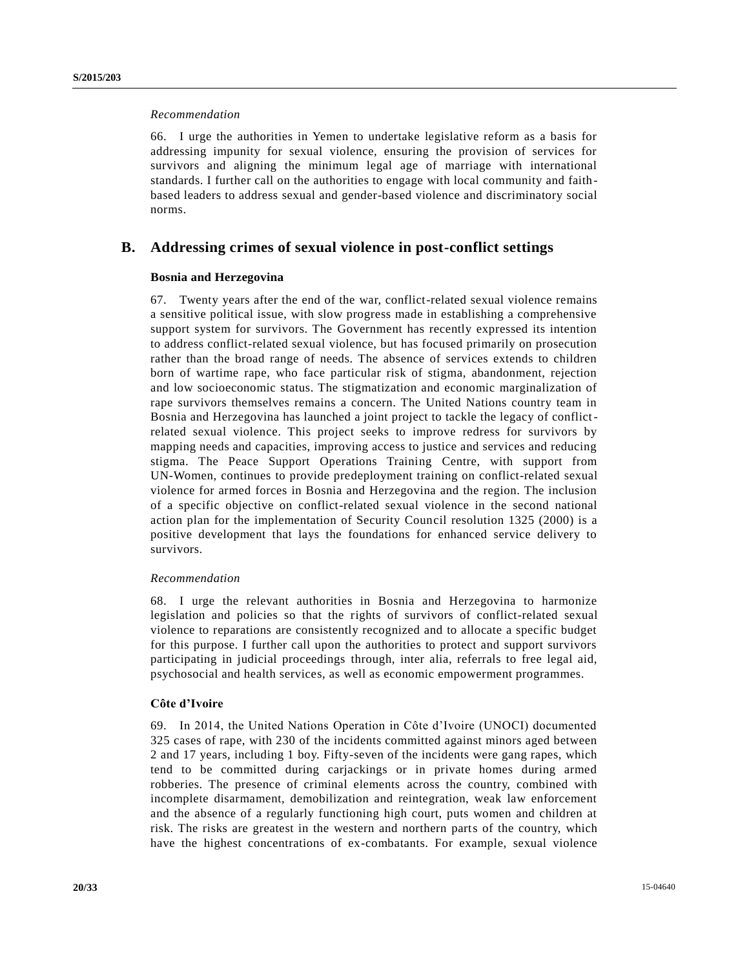# *Recommendation*

66. I urge the authorities in Yemen to undertake legislative reform as a basis for addressing impunity for sexual violence, ensuring the provision of services for survivors and aligning the minimum legal age of marriage with international standards. I further call on the authorities to engage with local community and faithbased leaders to address sexual and gender-based violence and discriminatory social norms.

# **B. Addressing crimes of sexual violence in post-conflict settings**

#### **Bosnia and Herzegovina**

67. Twenty years after the end of the war, conflict-related sexual violence remains a sensitive political issue, with slow progress made in establishing a comprehensive support system for survivors. The Government has recently expressed its intention to address conflict-related sexual violence, but has focused primarily on prosecution rather than the broad range of needs. The absence of services extends to children born of wartime rape, who face particular risk of stigma, abandonment, rejection and low socioeconomic status. The stigmatization and economic marginalization of rape survivors themselves remains a concern. The United Nations country team in Bosnia and Herzegovina has launched a joint project to tackle the legacy of conflictrelated sexual violence. This project seeks to improve redress for survivors by mapping needs and capacities, improving access to justice and services and reducing stigma. The Peace Support Operations Training Centre, with support from UN-Women, continues to provide predeployment training on conflict-related sexual violence for armed forces in Bosnia and Herzegovina and the region. The inclusion of a specific objective on conflict-related sexual violence in the second national action plan for the implementation of Security Council resolution 1325 (2000) is a positive development that lays the foundations for enhanced service delivery to survivors.

#### *Recommendation*

68. I urge the relevant authorities in Bosnia and Herzegovina to harmonize legislation and policies so that the rights of survivors of conflict-related sexual violence to reparations are consistently recognized and to allocate a specific budget for this purpose. I further call upon the authorities to protect and support survivors participating in judicial proceedings through, inter alia, referrals to free legal aid, psychosocial and health services, as well as economic empowerment programmes.

#### **Côte d'Ivoire**

69. In 2014, the United Nations Operation in Côte d'Ivoire (UNOCI) documented 325 cases of rape, with 230 of the incidents committed against minors aged between 2 and 17 years, including 1 boy. Fifty-seven of the incidents were gang rapes, which tend to be committed during carjackings or in private homes during armed robberies. The presence of criminal elements across the country, combined with incomplete disarmament, demobilization and reintegration, weak law enforcement and the absence of a regularly functioning high court, puts women and children at risk. The risks are greatest in the western and northern parts of the country, which have the highest concentrations of ex-combatants. For example, sexual violence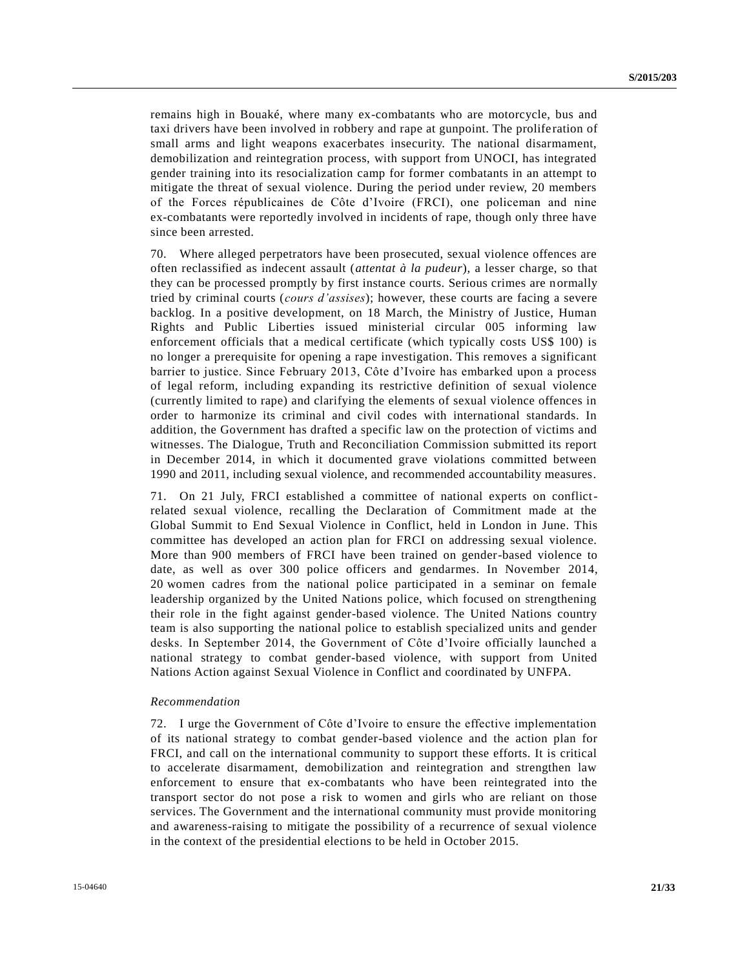remains high in Bouaké, where many ex-combatants who are motorcycle, bus and taxi drivers have been involved in robbery and rape at gunpoint. The prolife ration of small arms and light weapons exacerbates insecurity. The national disarmament, demobilization and reintegration process, with support from UNOCI, has integrated gender training into its resocialization camp for former combatants in an attempt to mitigate the threat of sexual violence. During the period under review, 20 members of the Forces républicaines de Côte d'Ivoire (FRCI), one policeman and nine ex-combatants were reportedly involved in incidents of rape, though only three have since been arrested.

70. Where alleged perpetrators have been prosecuted, sexual violence offences are often reclassified as indecent assault (*attentat à la pudeur*), a lesser charge, so that they can be processed promptly by first instance courts. Serious crimes are normally tried by criminal courts (*cours d'assises*); however, these courts are facing a severe backlog. In a positive development, on 18 March, the Ministry of Justice, Human Rights and Public Liberties issued ministerial circular 005 informing law enforcement officials that a medical certificate (which typically costs US\$ 100) is no longer a prerequisite for opening a rape investigation. This removes a significant barrier to justice. Since February 2013, Côte d'Ivoire has embarked upon a process of legal reform, including expanding its restrictive definition of sexual violence (currently limited to rape) and clarifying the elements of sexual violence offences in order to harmonize its criminal and civil codes with international standards. In addition, the Government has drafted a specific law on the protection of victims and witnesses. The Dialogue, Truth and Reconciliation Commission submitted its report in December 2014, in which it documented grave violations committed between 1990 and 2011, including sexual violence, and recommended accountability measures.

71. On 21 July, FRCI established a committee of national experts on conflictrelated sexual violence, recalling the Declaration of Commitment made at the Global Summit to End Sexual Violence in Conflict, held in London in June. This committee has developed an action plan for FRCI on addressing sexual violence. More than 900 members of FRCI have been trained on gender-based violence to date, as well as over 300 police officers and gendarmes. In November 2014, 20 women cadres from the national police participated in a seminar on female leadership organized by the United Nations police, which focused on strengthening their role in the fight against gender-based violence. The United Nations country team is also supporting the national police to establish specialized units and gender desks. In September 2014, the Government of Côte d'Ivoire officially launched a national strategy to combat gender-based violence, with support from United Nations Action against Sexual Violence in Conflict and coordinated by UNFPA.

#### *Recommendation*

72. I urge the Government of Côte d'Ivoire to ensure the effective implementation of its national strategy to combat gender-based violence and the action plan for FRCI, and call on the international community to support these efforts. It is critical to accelerate disarmament, demobilization and reintegration and strengthen law enforcement to ensure that ex-combatants who have been reintegrated into the transport sector do not pose a risk to women and girls who are reliant on those services. The Government and the international community must provide monitoring and awareness-raising to mitigate the possibility of a recurrence of sexual violence in the context of the presidential elections to be held in October 2015.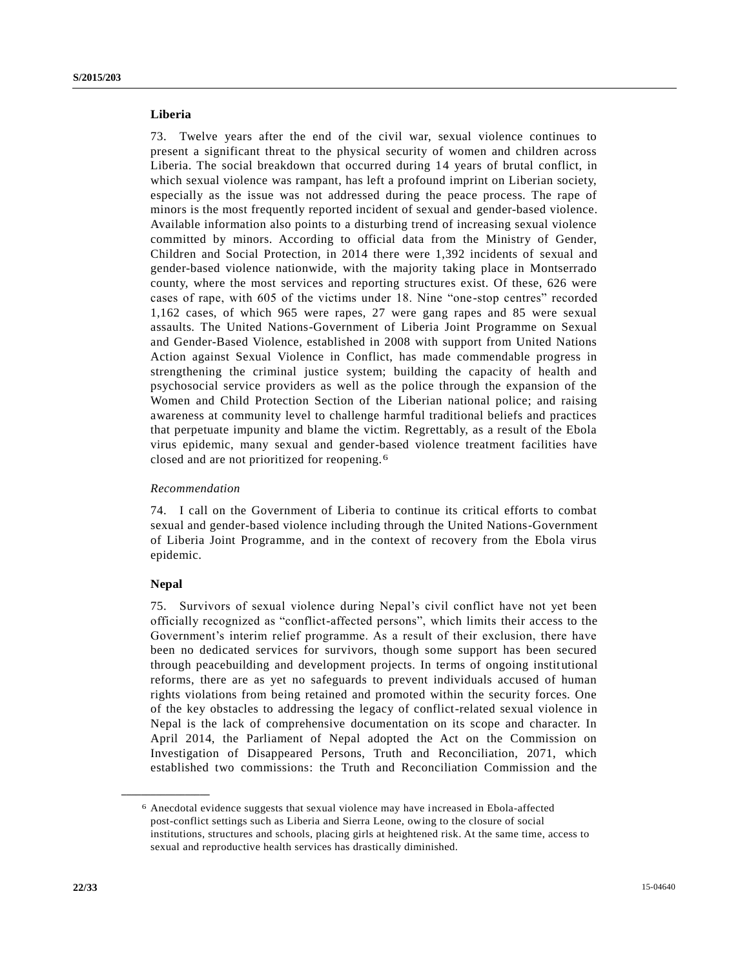### **Liberia**

73. Twelve years after the end of the civil war, sexual violence continues to present a significant threat to the physical security of women and children across Liberia. The social breakdown that occurred during 14 years of brutal conflict, in which sexual violence was rampant, has left a profound imprint on Liberian society, especially as the issue was not addressed during the peace process. The rape of minors is the most frequently reported incident of sexual and gender-based violence. Available information also points to a disturbing trend of increasing sexual violence committed by minors. According to official data from the Ministry of Gender, Children and Social Protection, in 2014 there were 1,392 incidents of sexual and gender-based violence nationwide, with the majority taking place in Montserrado county, where the most services and reporting structures exist. Of these, 626 were cases of rape, with 605 of the victims under 18. Nine "one-stop centres" recorded 1,162 cases, of which 965 were rapes, 27 were gang rapes and 85 were sexual assaults. The United Nations-Government of Liberia Joint Programme on Sexual and Gender-Based Violence, established in 2008 with support from United Nations Action against Sexual Violence in Conflict, has made commendable progress in strengthening the criminal justice system; building the capacity of health and psychosocial service providers as well as the police through the expansion of the Women and Child Protection Section of the Liberian national police; and raising awareness at community level to challenge harmful traditional beliefs and practices that perpetuate impunity and blame the victim. Regrettably, as a result of the Ebola virus epidemic, many sexual and gender-based violence treatment facilities have closed and are not prioritized for reopening.6

#### *Recommendation*

74. I call on the Government of Liberia to continue its critical efforts to combat sexual and gender-based violence including through the United Nations-Government of Liberia Joint Programme, and in the context of recovery from the Ebola virus epidemic.

#### **Nepal**

**\_\_\_\_\_\_\_\_\_\_\_\_\_\_\_\_\_\_**

75. Survivors of sexual violence during Nepal's civil conflict have not yet been officially recognized as "conflict-affected persons", which limits their access to the Government's interim relief programme. As a result of their exclusion, there have been no dedicated services for survivors, though some support has been secured through peacebuilding and development projects. In terms of ongoing institutional reforms, there are as yet no safeguards to prevent individuals accused of human rights violations from being retained and promoted within the security forces. One of the key obstacles to addressing the legacy of conflict-related sexual violence in Nepal is the lack of comprehensive documentation on its scope and character. In April 2014, the Parliament of Nepal adopted the Act on the Commission on Investigation of Disappeared Persons, Truth and Reconciliation, 2071, which established two commissions: the Truth and Reconciliation Commission and the

<sup>6</sup> Anecdotal evidence suggests that sexual violence may have increased in Ebola-affected post-conflict settings such as Liberia and Sierra Leone, owing to the closure of social institutions, structures and schools, placing girls at heightened risk. At the same time, access to sexual and reproductive health services has drastically diminished.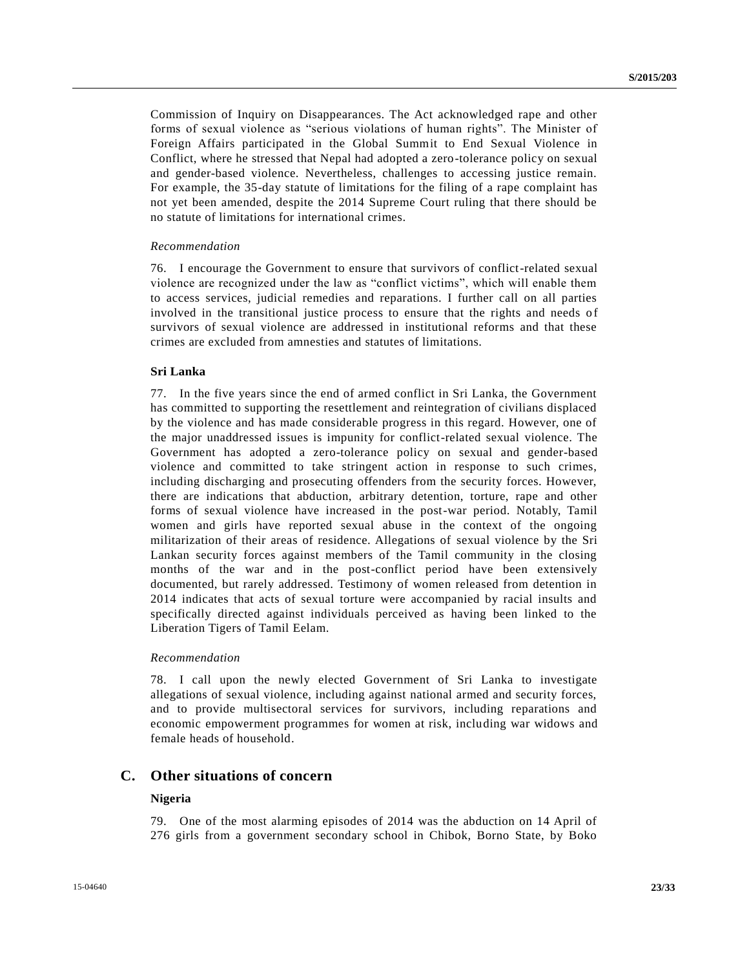Commission of Inquiry on Disappearances. The Act acknowledged rape and other forms of sexual violence as "serious violations of human rights". The Minister of Foreign Affairs participated in the Global Summit to End Sexual Violence in Conflict, where he stressed that Nepal had adopted a zero-tolerance policy on sexual and gender-based violence. Nevertheless, challenges to accessing justice remain. For example, the 35-day statute of limitations for the filing of a rape complaint has not yet been amended, despite the 2014 Supreme Court ruling that there should be no statute of limitations for international crimes.

#### *Recommendation*

76. I encourage the Government to ensure that survivors of conflict-related sexual violence are recognized under the law as "conflict victims", which will enable them to access services, judicial remedies and reparations. I further call on all parties involved in the transitional justice process to ensure that the rights and needs of survivors of sexual violence are addressed in institutional reforms and that these crimes are excluded from amnesties and statutes of limitations.

#### **Sri Lanka**

77. In the five years since the end of armed conflict in Sri Lanka, the Government has committed to supporting the resettlement and reintegration of civilians displaced by the violence and has made considerable progress in this regard. However, one of the major unaddressed issues is impunity for conflict-related sexual violence. The Government has adopted a zero-tolerance policy on sexual and gender-based violence and committed to take stringent action in response to such crimes, including discharging and prosecuting offenders from the security forces. However, there are indications that abduction, arbitrary detention, torture, rape and other forms of sexual violence have increased in the post-war period. Notably, Tamil women and girls have reported sexual abuse in the context of the ongoing militarization of their areas of residence. Allegations of sexual violence by the Sri Lankan security forces against members of the Tamil community in the closing months of the war and in the post-conflict period have been extensively documented, but rarely addressed. Testimony of women released from detention in 2014 indicates that acts of sexual torture were accompanied by racial insults and specifically directed against individuals perceived as having been linked to the Liberation Tigers of Tamil Eelam.

#### *Recommendation*

78. I call upon the newly elected Government of Sri Lanka to investigate allegations of sexual violence, including against national armed and security forces, and to provide multisectoral services for survivors, including reparations and economic empowerment programmes for women at risk, including war widows and female heads of household.

# **C. Other situations of concern**

### **Nigeria**

79. One of the most alarming episodes of 2014 was the abduction on 14 April of 276 girls from a government secondary school in Chibok, Borno State, by Boko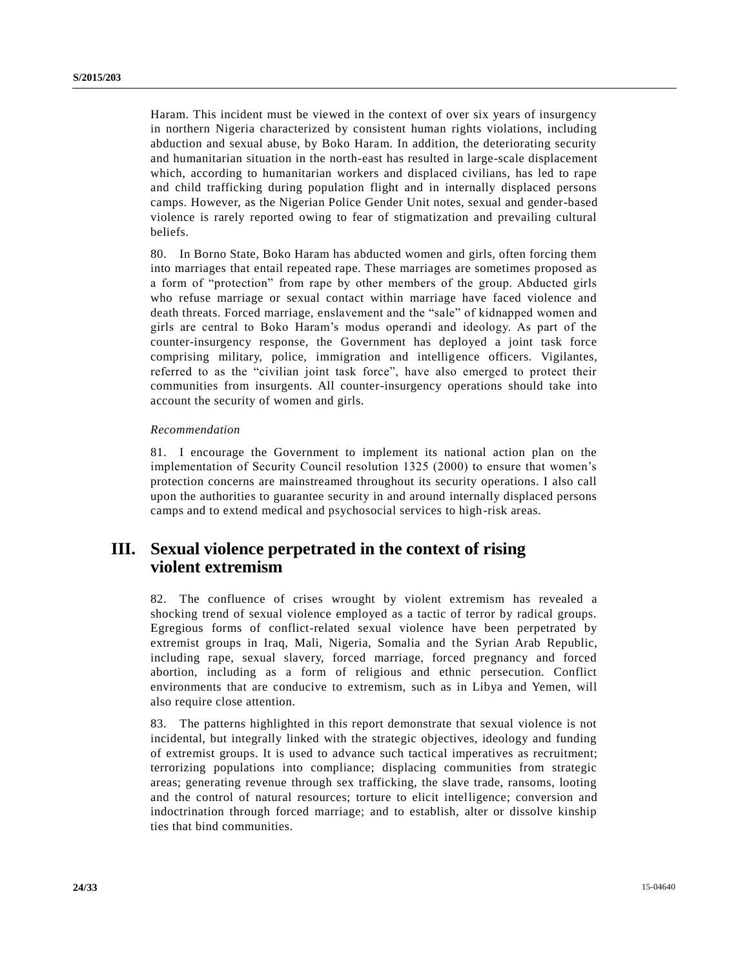Haram. This incident must be viewed in the context of over six years of insurgency in northern Nigeria characterized by consistent human rights violations, including abduction and sexual abuse, by Boko Haram. In addition, the deteriorating security and humanitarian situation in the north-east has resulted in large-scale displacement which, according to humanitarian workers and displaced civilians, has led to rape and child trafficking during population flight and in internally displaced persons camps. However, as the Nigerian Police Gender Unit notes, sexual and gender-based violence is rarely reported owing to fear of stigmatization and prevailing cultural beliefs.

80. In Borno State, Boko Haram has abducted women and girls, often forcing them into marriages that entail repeated rape. These marriages are sometimes proposed as a form of "protection" from rape by other members of the group. Abducted girls who refuse marriage or sexual contact within marriage have faced violence and death threats. Forced marriage, enslavement and the "sale" of kidnapped women and girls are central to Boko Haram's modus operandi and ideology. As part of the counter-insurgency response, the Government has deployed a joint task force comprising military, police, immigration and intelligence officers. Vigilantes, referred to as the "civilian joint task force", have also emerged to protect their communities from insurgents. All counter-insurgency operations should take into account the security of women and girls.

# *Recommendation*

81. I encourage the Government to implement its national action plan on the implementation of Security Council resolution 1325 (2000) to ensure that women's protection concerns are mainstreamed throughout its security operations. I also call upon the authorities to guarantee security in and around internally displaced persons camps and to extend medical and psychosocial services to high-risk areas.

# **III. Sexual violence perpetrated in the context of rising violent extremism**

82. The confluence of crises wrought by violent extremism has revealed a shocking trend of sexual violence employed as a tactic of terror by radical groups. Egregious forms of conflict-related sexual violence have been perpetrated by extremist groups in Iraq, Mali, Nigeria, Somalia and the Syrian Arab Republic, including rape, sexual slavery, forced marriage, forced pregnancy and forced abortion, including as a form of religious and ethnic persecution. Conflict environments that are conducive to extremism, such as in Libya and Yemen, will also require close attention.

83. The patterns highlighted in this report demonstrate that sexual violence is not incidental, but integrally linked with the strategic objectives, ideology and funding of extremist groups. It is used to advance such tactical imperatives as recruitment; terrorizing populations into compliance; displacing communities from strategic areas; generating revenue through sex trafficking, the slave trade, ransoms, looting and the control of natural resources; torture to elicit intelligence; conversion and indoctrination through forced marriage; and to establish, alter or dissolve kinship ties that bind communities.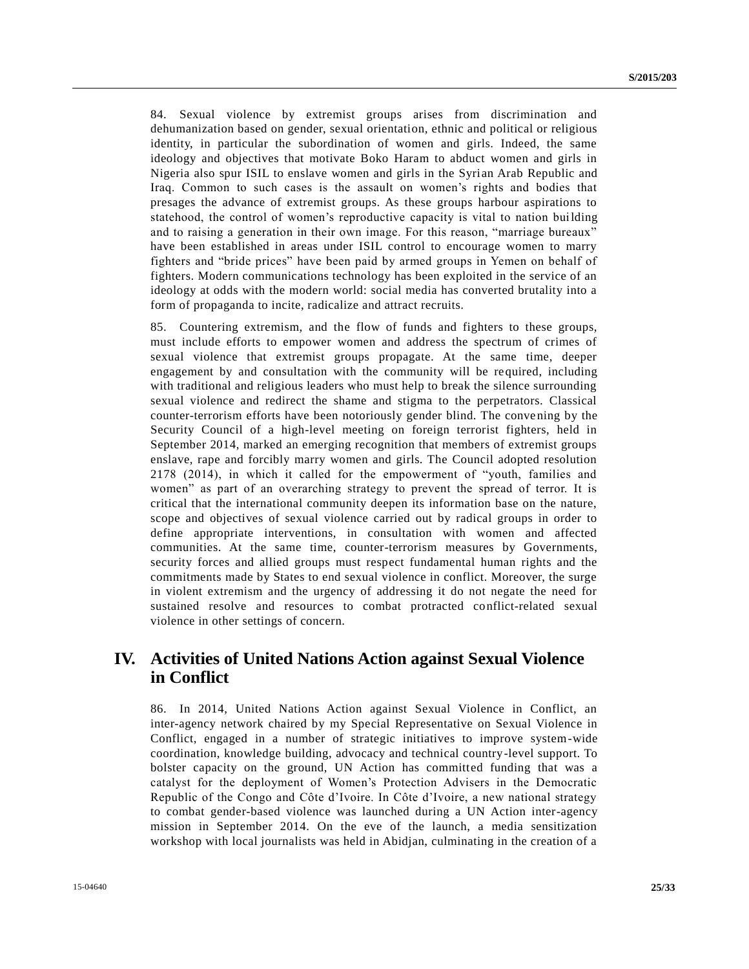84. Sexual violence by extremist groups arises from discrimination and dehumanization based on gender, sexual orientation, ethnic and political or religious identity, in particular the subordination of women and girls. Indeed, the same ideology and objectives that motivate Boko Haram to abduct women and girls in Nigeria also spur ISIL to enslave women and girls in the Syrian Arab Republic and Iraq. Common to such cases is the assault on women's rights and bodies that presages the advance of extremist groups. As these groups harbour aspirations to statehood, the control of women's reproductive capacity is vital to nation building and to raising a generation in their own image. For this reason, "marriage bureaux" have been established in areas under ISIL control to encourage women to marry fighters and "bride prices" have been paid by armed groups in Yemen on behalf of fighters. Modern communications technology has been exploited in the service of an ideology at odds with the modern world: social media has converted brutality into a form of propaganda to incite, radicalize and attract recruits.

85. Countering extremism, and the flow of funds and fighters to these groups, must include efforts to empower women and address the spectrum of crimes of sexual violence that extremist groups propagate. At the same time, deeper engagement by and consultation with the community will be required, including with traditional and religious leaders who must help to break the silence surrounding sexual violence and redirect the shame and stigma to the perpetrators. Classical counter-terrorism efforts have been notoriously gender blind. The conve ning by the Security Council of a high-level meeting on foreign terrorist fighters, held in September 2014, marked an emerging recognition that members of extremist groups enslave, rape and forcibly marry women and girls. The Council adopted resolution 2178 (2014), in which it called for the empowerment of "youth, families and women" as part of an overarching strategy to prevent the spread of terror. It is critical that the international community deepen its information base on the nature, scope and objectives of sexual violence carried out by radical groups in order to define appropriate interventions, in consultation with women and affected communities. At the same time, counter-terrorism measures by Governments, security forces and allied groups must respect fundamental human rights and the commitments made by States to end sexual violence in conflict. Moreover, the surge in violent extremism and the urgency of addressing it do not negate the need for sustained resolve and resources to combat protracted conflict-related sexual violence in other settings of concern.

# **IV. Activities of United Nations Action against Sexual Violence in Conflict**

86. In 2014, United Nations Action against Sexual Violence in Conflict, an inter-agency network chaired by my Special Representative on Sexual Violence in Conflict, engaged in a number of strategic initiatives to improve system-wide coordination, knowledge building, advocacy and technical country-level support. To bolster capacity on the ground, UN Action has committed funding that was a catalyst for the deployment of Women's Protection Advisers in the Democratic Republic of the Congo and Côte d'Ivoire. In Côte d'Ivoire, a new national strategy to combat gender-based violence was launched during a UN Action inter-agency mission in September 2014. On the eve of the launch, a media sensitization workshop with local journalists was held in Abidjan, culminating in the creation of a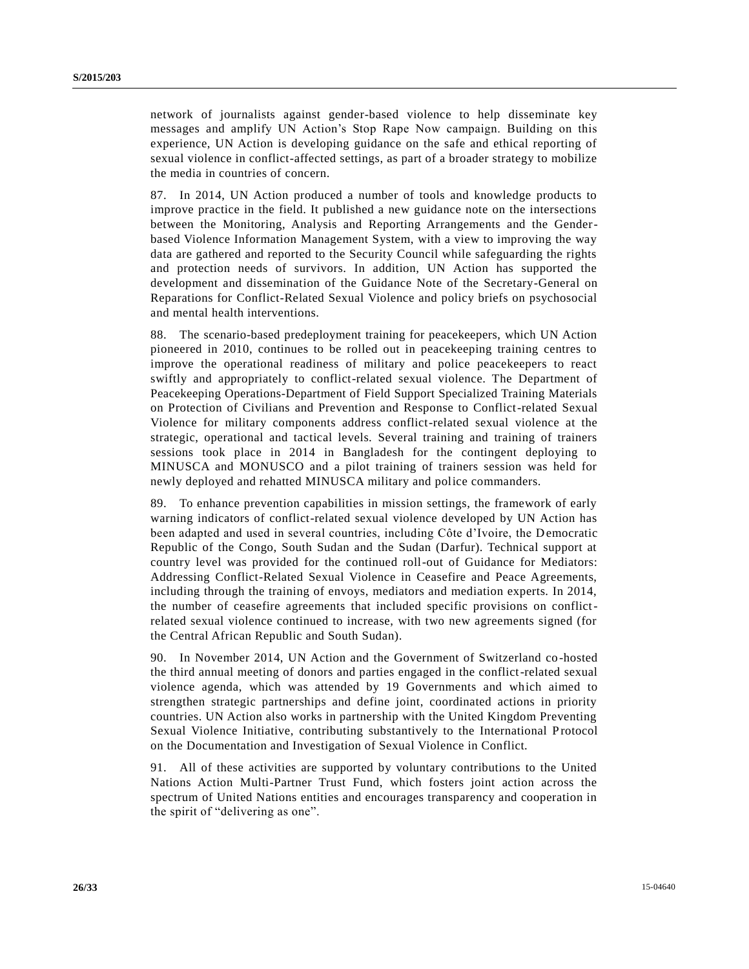network of journalists against gender-based violence to help disseminate key messages and amplify UN Action's Stop Rape Now campaign. Building on this experience, UN Action is developing guidance on the safe and ethical reporting of sexual violence in conflict-affected settings, as part of a broader strategy to mobilize the media in countries of concern.

87. In 2014, UN Action produced a number of tools and knowledge products to improve practice in the field. It published a new guidance note on the intersections between the Monitoring, Analysis and Reporting Arrangements and the Genderbased Violence Information Management System, with a view to improving the way data are gathered and reported to the Security Council while safeguarding the rights and protection needs of survivors. In addition, UN Action has supported the development and dissemination of the Guidance Note of the Secretary-General on Reparations for Conflict-Related Sexual Violence and policy briefs on psychosocial and mental health interventions.

88. The scenario-based predeployment training for peacekeepers, which UN Action pioneered in 2010, continues to be rolled out in peacekeeping training centres to improve the operational readiness of military and police peacekeepers to react swiftly and appropriately to conflict-related sexual violence. The Department of Peacekeeping Operations-Department of Field Support Specialized Training Materials on Protection of Civilians and Prevention and Response to Conflict-related Sexual Violence for military components address conflict-related sexual violence at the strategic, operational and tactical levels. Several training and training of trainers sessions took place in 2014 in Bangladesh for the contingent deploying to MINUSCA and MONUSCO and a pilot training of trainers session was held for newly deployed and rehatted MINUSCA military and police commanders.

89. To enhance prevention capabilities in mission settings, the framework of early warning indicators of conflict-related sexual violence developed by UN Action has been adapted and used in several countries, including Côte d'Ivoire, the Democratic Republic of the Congo, South Sudan and the Sudan (Darfur). Technical support at country level was provided for the continued roll-out of Guidance for Mediators: Addressing Conflict-Related Sexual Violence in Ceasefire and Peace Agreements, including through the training of envoys, mediators and mediation experts. In 2014, the number of ceasefire agreements that included specific provisions on conflictrelated sexual violence continued to increase, with two new agreements signed (for the Central African Republic and South Sudan).

90. In November 2014, UN Action and the Government of Switzerland co-hosted the third annual meeting of donors and parties engaged in the conflict-related sexual violence agenda, which was attended by 19 Governments and which aimed to strengthen strategic partnerships and define joint, coordinated actions in priority countries. UN Action also works in partnership with the United Kingdom Preventing Sexual Violence Initiative, contributing substantively to the International Protocol on the Documentation and Investigation of Sexual Violence in Conflict.

91. All of these activities are supported by voluntary contributions to the United Nations Action Multi-Partner Trust Fund, which fosters joint action across the spectrum of United Nations entities and encourages transparency and cooperation in the spirit of "delivering as one".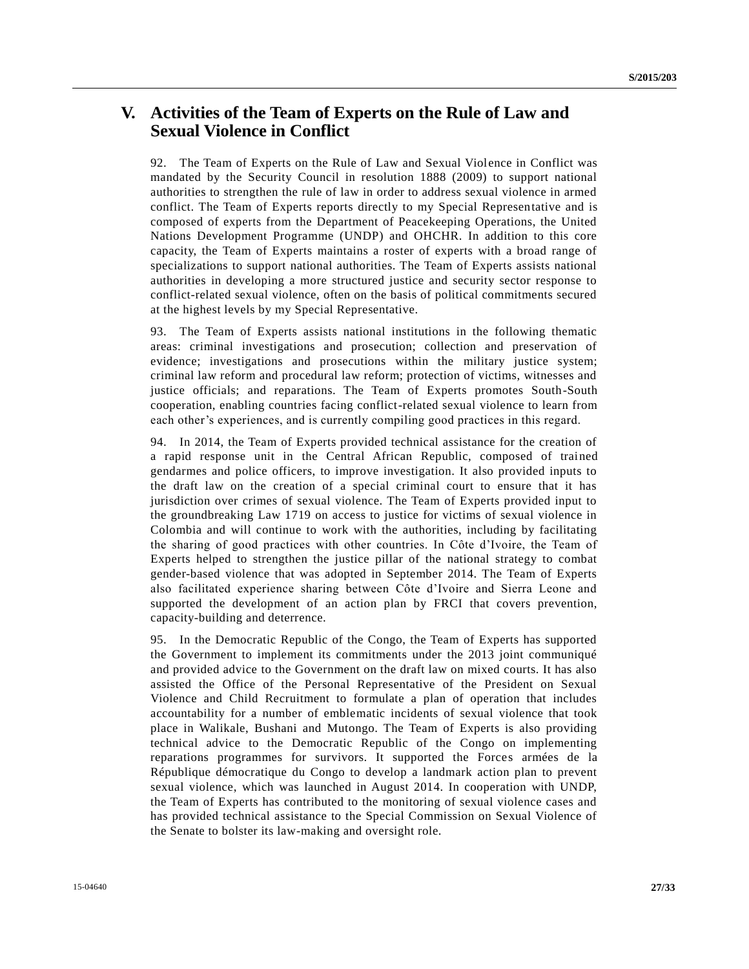# **V. Activities of the Team of Experts on the Rule of Law and Sexual Violence in Conflict**

92. The Team of Experts on the Rule of Law and Sexual Violence in Conflict was mandated by the Security Council in resolution 1888 (2009) to support national authorities to strengthen the rule of law in order to address sexual violence in armed conflict. The Team of Experts reports directly to my Special Representative and is composed of experts from the Department of Peacekeeping Operations, the United Nations Development Programme (UNDP) and OHCHR. In addition to this core capacity, the Team of Experts maintains a roster of experts with a broad range of specializations to support national authorities. The Team of Experts assists national authorities in developing a more structured justice and security sector response to conflict-related sexual violence, often on the basis of political commitments secured at the highest levels by my Special Representative.

93. The Team of Experts assists national institutions in the following thematic areas: criminal investigations and prosecution; collection and preservation of evidence; investigations and prosecutions within the military justice system; criminal law reform and procedural law reform; protection of victims, witnesses and justice officials; and reparations. The Team of Experts promotes South-South cooperation, enabling countries facing conflict-related sexual violence to learn from each other's experiences, and is currently compiling good practices in this regard.

94. In 2014, the Team of Experts provided technical assistance for the creation of a rapid response unit in the Central African Republic, composed of trained gendarmes and police officers, to improve investigation. It also provided inputs to the draft law on the creation of a special criminal court to ensure that it has jurisdiction over crimes of sexual violence. The Team of Experts provided input to the groundbreaking Law 1719 on access to justice for victims of sexual violence in Colombia and will continue to work with the authorities, including by facilitating the sharing of good practices with other countries. In Côte d'Ivoire, the Team of Experts helped to strengthen the justice pillar of the national strategy to combat gender-based violence that was adopted in September 2014. The Team of Experts also facilitated experience sharing between Côte d'Ivoire and Sierra Leone and supported the development of an action plan by FRCI that covers prevention, capacity-building and deterrence.

95. In the Democratic Republic of the Congo, the Team of Experts has supported the Government to implement its commitments under the 2013 joint communiqué and provided advice to the Government on the draft law on mixed courts. It has also assisted the Office of the Personal Representative of the President on Sexual Violence and Child Recruitment to formulate a plan of operation that includes accountability for a number of emblematic incidents of sexual violence that took place in Walikale, Bushani and Mutongo. The Team of Experts is also providing technical advice to the Democratic Republic of the Congo on implementing reparations programmes for survivors. It supported the Forces armées de la République démocratique du Congo to develop a landmark action plan to prevent sexual violence, which was launched in August 2014. In cooperation with UNDP, the Team of Experts has contributed to the monitoring of sexual violence cases and has provided technical assistance to the Special Commission on Sexual Violence of the Senate to bolster its law-making and oversight role.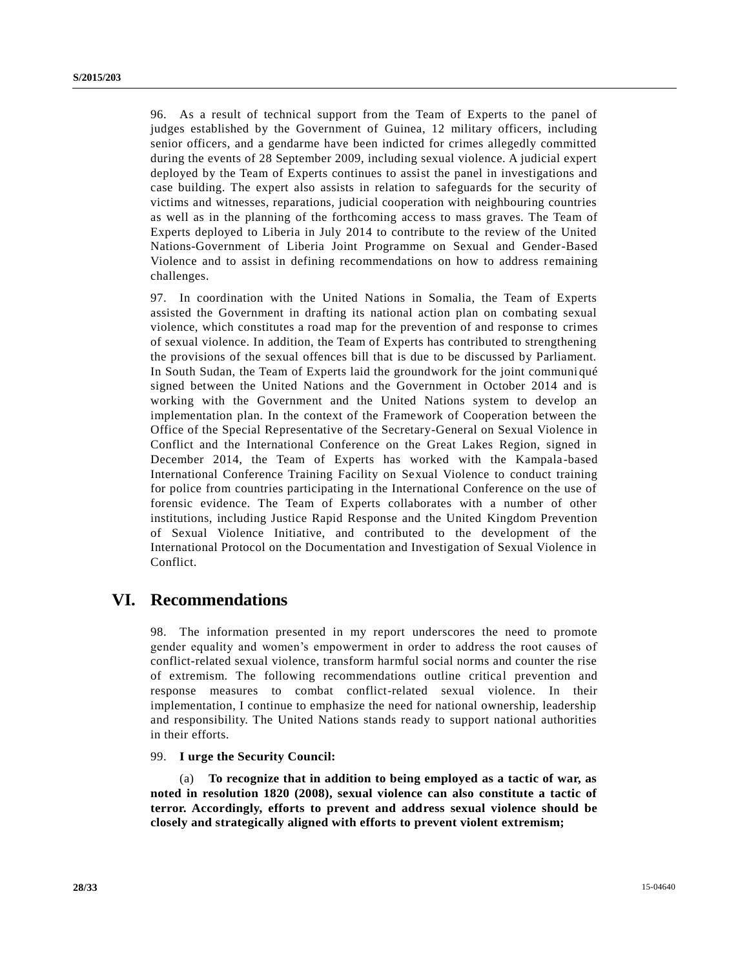96. As a result of technical support from the Team of Experts to the panel of judges established by the Government of Guinea, 12 military officers, including senior officers, and a gendarme have been indicted for crimes allegedly committed during the events of 28 September 2009, including sexual violence. A judicial expert deployed by the Team of Experts continues to assist the panel in investigations and case building. The expert also assists in relation to safeguards for the security of victims and witnesses, reparations, judicial cooperation with neighbouring countries as well as in the planning of the forthcoming access to mass graves. The Team of Experts deployed to Liberia in July 2014 to contribute to the review of the United Nations-Government of Liberia Joint Programme on Sexual and Gender-Based Violence and to assist in defining recommendations on how to address remaining challenges.

97. In coordination with the United Nations in Somalia, the Team of Experts assisted the Government in drafting its national action plan on combating sexual violence, which constitutes a road map for the prevention of and response to crimes of sexual violence. In addition, the Team of Experts has contributed to strengthening the provisions of the sexual offences bill that is due to be discussed by Parliament. In South Sudan, the Team of Experts laid the groundwork for the joint communi qué signed between the United Nations and the Government in October 2014 and is working with the Government and the United Nations system to develop an implementation plan. In the context of the Framework of Cooperation between the Office of the Special Representative of the Secretary-General on Sexual Violence in Conflict and the International Conference on the Great Lakes Region, signed in December 2014, the Team of Experts has worked with the Kampala-based International Conference Training Facility on Sexual Violence to conduct training for police from countries participating in the International Conference on the use of forensic evidence. The Team of Experts collaborates with a number of other institutions, including Justice Rapid Response and the United Kingdom Prevention of Sexual Violence Initiative, and contributed to the development of the International Protocol on the Documentation and Investigation of Sexual Violence in Conflict.

# **VI. Recommendations**

98. The information presented in my report underscores the need to promote gender equality and women's empowerment in order to address the root causes of conflict-related sexual violence, transform harmful social norms and counter the rise of extremism. The following recommendations outline critical prevention and response measures to combat conflict-related sexual violence. In their implementation, I continue to emphasize the need for national ownership, leadership and responsibility. The United Nations stands ready to support national authorities in their efforts.

99. **I urge the Security Council:**

(a) **To recognize that in addition to being employed as a tactic of war, as noted in resolution 1820 (2008), sexual violence can also constitute a tactic of terror. Accordingly, efforts to prevent and address sexual violence should be closely and strategically aligned with efforts to prevent violent extremism;**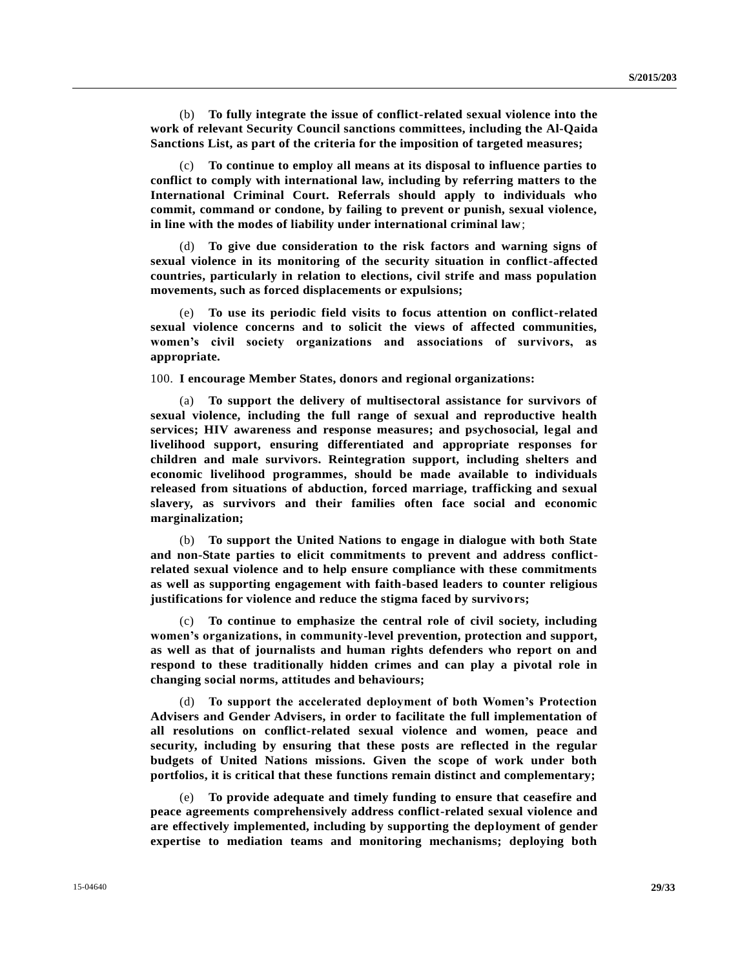(b) **To fully integrate the issue of conflict-related sexual violence into the work of relevant Security Council sanctions committees, including the Al-Qaida Sanctions List, as part of the criteria for the imposition of targeted measures;**

(c) **To continue to employ all means at its disposal to influence parties to conflict to comply with international law, including by referring matters to the International Criminal Court. Referrals should apply to individuals who commit, command or condone, by failing to prevent or punish, sexual violence, in line with the modes of liability under international criminal law**;

(d) **To give due consideration to the risk factors and warning signs of sexual violence in its monitoring of the security situation in conflict-affected countries, particularly in relation to elections, civil strife and mass population movements, such as forced displacements or expulsions;**

(e) **To use its periodic field visits to focus attention on conflict-related sexual violence concerns and to solicit the views of affected communities, women's civil society organizations and associations of survivors, as appropriate.**

100. **I encourage Member States, donors and regional organizations:**

(a) **To support the delivery of multisectoral assistance for survivors of sexual violence, including the full range of sexual and reproductive health services; HIV awareness and response measures; and psychosocial, legal and livelihood support, ensuring differentiated and appropriate responses for children and male survivors. Reintegration support, including shelters and economic livelihood programmes, should be made available to individuals released from situations of abduction, forced marriage, trafficking and sexual slavery, as survivors and their families often face social and economic marginalization;**

(b) **To support the United Nations to engage in dialogue with both State and non-State parties to elicit commitments to prevent and address conflictrelated sexual violence and to help ensure compliance with these commitments as well as supporting engagement with faith-based leaders to counter religious justifications for violence and reduce the stigma faced by survivors;**

(c) **To continue to emphasize the central role of civil society, including women's organizations, in community-level prevention, protection and support, as well as that of journalists and human rights defenders who report on and respond to these traditionally hidden crimes and can play a pivotal role in changing social norms, attitudes and behaviours;**

(d) **To support the accelerated deployment of both Women's Protection Advisers and Gender Advisers, in order to facilitate the full implementation of all resolutions on conflict-related sexual violence and women, peace and security, including by ensuring that these posts are reflected in the regular budgets of United Nations missions. Given the scope of work under both portfolios, it is critical that these functions remain distinct and complementary;**

(e) **To provide adequate and timely funding to ensure that ceasefire and peace agreements comprehensively address conflict-related sexual violence and are effectively implemented, including by supporting the deployment of gender expertise to mediation teams and monitoring mechanisms; deploying both**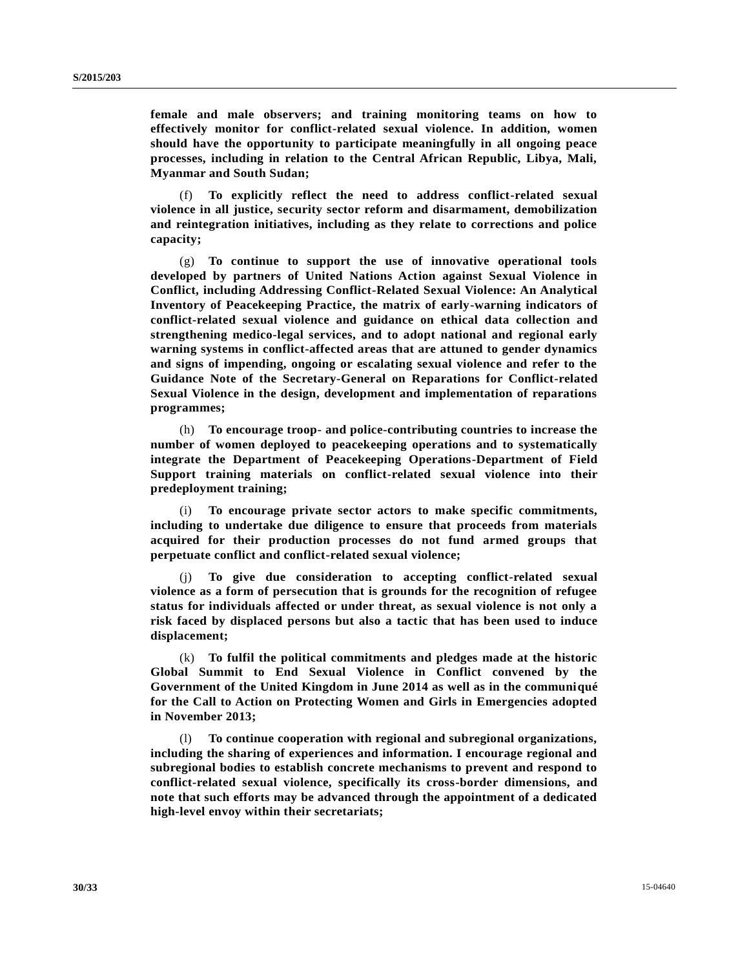**female and male observers; and training monitoring teams on how to effectively monitor for conflict-related sexual violence. In addition, women should have the opportunity to participate meaningfully in all ongoing peace processes, including in relation to the Central African Republic, Libya, Mali, Myanmar and South Sudan;**

(f) **To explicitly reflect the need to address conflict-related sexual violence in all justice, security sector reform and disarmament, demobilization and reintegration initiatives, including as they relate to corrections and police capacity;**

(g) **To continue to support the use of innovative operational tools developed by partners of United Nations Action against Sexual Violence in Conflict, including Addressing Conflict-Related Sexual Violence: An Analytical Inventory of Peacekeeping Practice, the matrix of early-warning indicators of conflict-related sexual violence and guidance on ethical data collection and strengthening medico-legal services, and to adopt national and regional early warning systems in conflict-affected areas that are attuned to gender dynamics and signs of impending, ongoing or escalating sexual violence and refer to the Guidance Note of the Secretary-General on Reparations for Conflict-related Sexual Violence in the design, development and implementation of reparations programmes;**

(h) **To encourage troop- and police-contributing countries to increase the number of women deployed to peacekeeping operations and to systematically integrate the Department of Peacekeeping Operations-Department of Field Support training materials on conflict-related sexual violence into their predeployment training;**

(i) **To encourage private sector actors to make specific commitments, including to undertake due diligence to ensure that proceeds from materials acquired for their production processes do not fund armed groups that perpetuate conflict and conflict-related sexual violence;**

(j) **To give due consideration to accepting conflict-related sexual violence as a form of persecution that is grounds for the recognition of refugee status for individuals affected or under threat, as sexual violence is not only a risk faced by displaced persons but also a tactic that has been used to induce displacement;**

(k) **To fulfil the political commitments and pledges made at the historic Global Summit to End Sexual Violence in Conflict convened by the Government of the United Kingdom in June 2014 as well as in the communiqué for the Call to Action on Protecting Women and Girls in Emergencies adopted in November 2013;**

(l) **To continue cooperation with regional and subregional organizations, including the sharing of experiences and information. I encourage regional and subregional bodies to establish concrete mechanisms to prevent and respond to conflict-related sexual violence, specifically its cross-border dimensions, and note that such efforts may be advanced through the appointment of a dedicated high-level envoy within their secretariats;**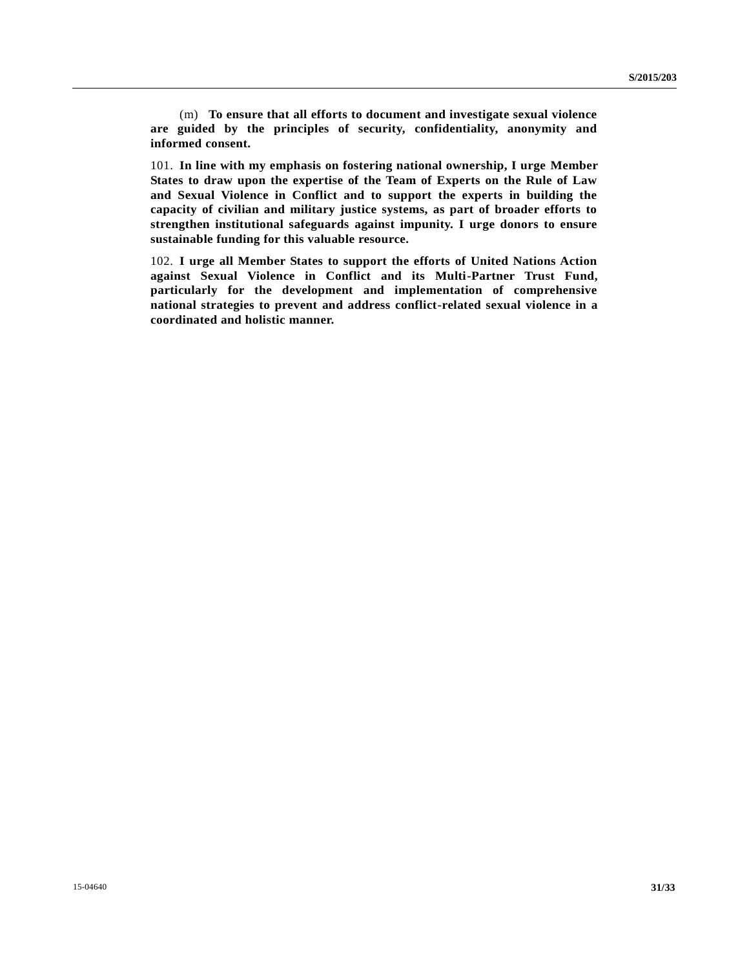(m) **To ensure that all efforts to document and investigate sexual violence are guided by the principles of security, confidentiality, anonymity and informed consent.**

101. **In line with my emphasis on fostering national ownership, I urge Member States to draw upon the expertise of the Team of Experts on the Rule of Law and Sexual Violence in Conflict and to support the experts in building the capacity of civilian and military justice systems, as part of broader efforts to strengthen institutional safeguards against impunity. I urge donors to ensure sustainable funding for this valuable resource.**

102. **I urge all Member States to support the efforts of United Nations Action against Sexual Violence in Conflict and its Multi-Partner Trust Fund, particularly for the development and implementation of comprehensive national strategies to prevent and address conflict-related sexual violence in a coordinated and holistic manner.**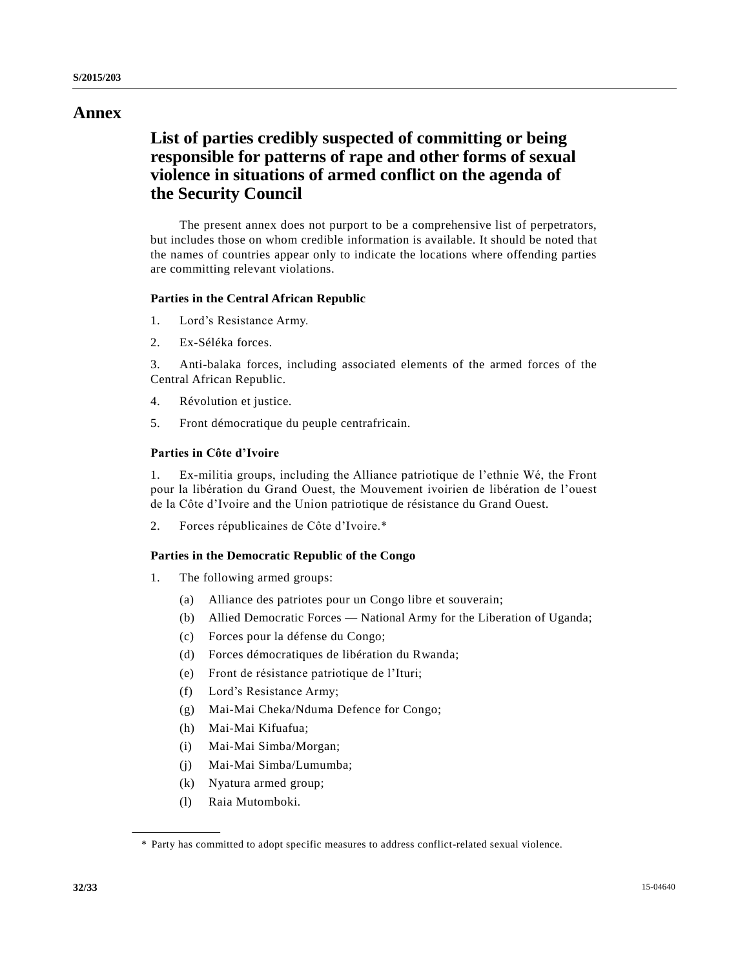# **Annex**

# **List of parties credibly suspected of committing or being responsible for patterns of rape and other forms of sexual violence in situations of armed conflict on the agenda of the Security Council**

The present annex does not purport to be a comprehensive list of perpetrators, but includes those on whom credible information is available. It should be noted that the names of countries appear only to indicate the locations where offending parties are committing relevant violations.

# **Parties in the Central African Republic**

- 1. Lord's Resistance Army.
- 2. Ex-Séléka forces.

3. Anti-balaka forces, including associated elements of the armed forces of the Central African Republic.

- 4. Révolution et justice.
- 5. Front démocratique du peuple centrafricain.

## **Parties in Côte d'Ivoire**

1. Ex-militia groups, including the Alliance patriotique de l'ethnie Wé, the Front pour la libération du Grand Ouest, the Mouvement ivoirien de libération de l'ouest de la Côte d'Ivoire and the Union patriotique de résistance du Grand Ouest.

2. Forces républicaines de Côte d'Ivoire.\*

# **Parties in the Democratic Republic of the Congo**

- 1. The following armed groups:
	- (a) Alliance des patriotes pour un Congo libre et souverain;
	- (b) Allied Democratic Forces National Army for the Liberation of Uganda;
	- (c) Forces pour la défense du Congo;
	- (d) Forces démocratiques de libération du Rwanda;
	- (e) Front de résistance patriotique de l'Ituri;
	- (f) Lord's Resistance Army;
	- (g) Mai-Mai Cheka/Nduma Defence for Congo;
	- (h) Mai-Mai Kifuafua;
	- (i) Mai-Mai Simba/Morgan;
	- (j) Mai-Mai Simba/Lumumba;
	- (k) Nyatura armed group;
	- (l) Raia Mutomboki.

<sup>\*</sup> Party has committed to adopt specific measures to address conflict-related sexual violence.